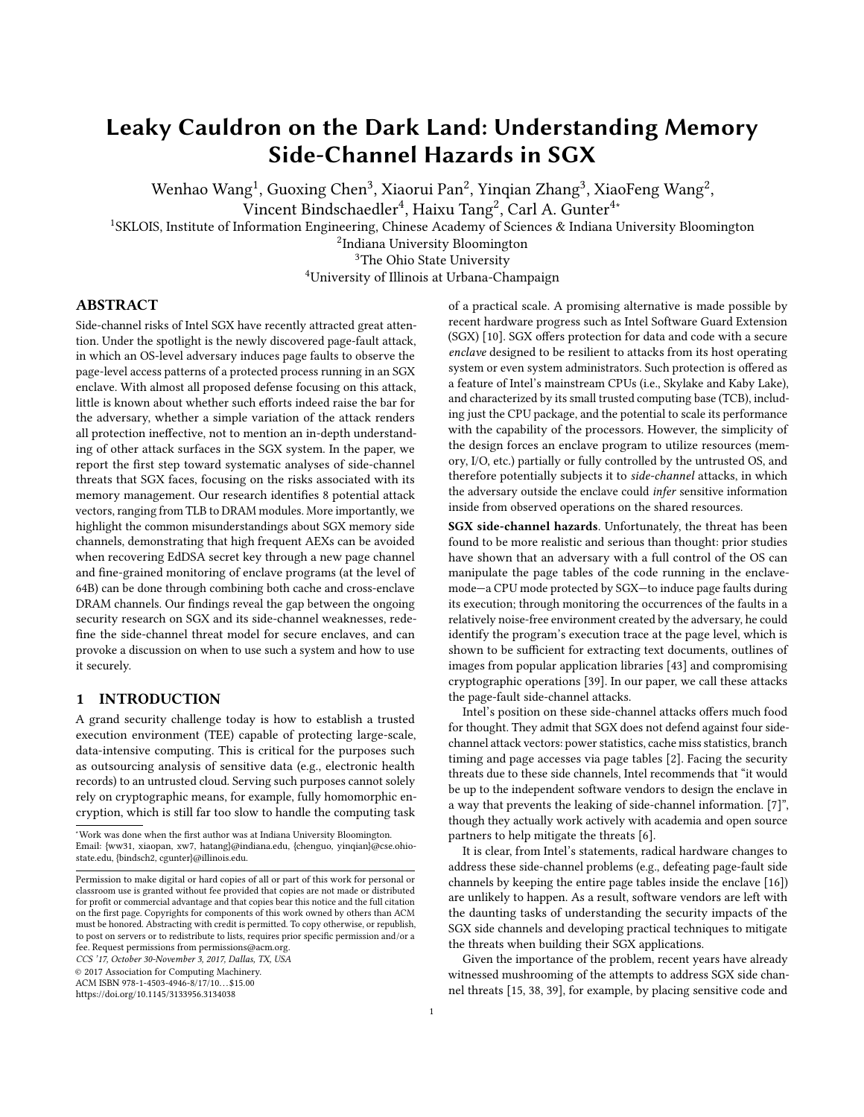# Leaky Cauldron on the Dark Land: Understanding Memory Side-Channel Hazards in SGX

Wenhao Wang<sup>1</sup>, Guoxing Chen<sup>3</sup>, Xiaorui Pan<sup>2</sup>, Yingian Zhang<sup>3</sup>, XiaoFeng Wang<sup>2</sup>,

Uincent Bindschaedler<sup>4</sup>, Haixu Tang<sup>2</sup>, Carl A. Gunter<sup>4∗</sup>

<sup>1</sup>SKLOIS, Institute of Information Engineering, Chinese Academy of Sciences & Indiana University Bloomington

2 Indiana University Bloomington

<sup>3</sup>The Ohio State University

<sup>4</sup>University of Illinois at Urbana-Champaign

# ABSTRACT

Side-channel risks of Intel SGX have recently attracted great attention. Under the spotlight is the newly discovered page-fault attack, in which an OS-level adversary induces page faults to observe the page-level access patterns of a protected process running in an SGX enclave. With almost all proposed defense focusing on this attack, little is known about whether such efforts indeed raise the bar for the adversary, whether a simple variation of the attack renders all protection ineffective, not to mention an in-depth understanding of other attack surfaces in the SGX system. In the paper, we report the first step toward systematic analyses of side-channel threats that SGX faces, focusing on the risks associated with its memory management. Our research identifies 8 potential attack vectors, ranging from TLB to DRAM modules. More importantly, we highlight the common misunderstandings about SGX memory side channels, demonstrating that high frequent AEXs can be avoided when recovering EdDSA secret key through a new page channel and fine-grained monitoring of enclave programs (at the level of 64B) can be done through combining both cache and cross-enclave DRAM channels. Our findings reveal the gap between the ongoing security research on SGX and its side-channel weaknesses, redefine the side-channel threat model for secure enclaves, and can provoke a discussion on when to use such a system and how to use it securely.

# 1 INTRODUCTION

A grand security challenge today is how to establish a trusted execution environment (TEE) capable of protecting large-scale, data-intensive computing. This is critical for the purposes such as outsourcing analysis of sensitive data (e.g., electronic health records) to an untrusted cloud. Serving such purposes cannot solely rely on cryptographic means, for example, fully homomorphic encryption, which is still far too slow to handle the computing task

CCS '17, October 30-November 3, 2017, Dallas, TX, USA

© 2017 Association for Computing Machinery.

ACM ISBN 978-1-4503-4946-8/17/10. . . \$15.00

<https://doi.org/10.1145/3133956.3134038>

of a practical scale. A promising alternative is made possible by recent hardware progress such as Intel Software Guard Extension (SGX) [\[10\]](#page-12-0). SGX offers protection for data and code with a secure enclave designed to be resilient to attacks from its host operating system or even system administrators. Such protection is offered as a feature of Intel's mainstream CPUs (i.e., Skylake and Kaby Lake), and characterized by its small trusted computing base (TCB), including just the CPU package, and the potential to scale its performance with the capability of the processors. However, the simplicity of the design forces an enclave program to utilize resources (memory, I/O, etc.) partially or fully controlled by the untrusted OS, and therefore potentially subjects it to side-channel attacks, in which the adversary outside the enclave could infer sensitive information inside from observed operations on the shared resources.

SGX side-channel hazards. Unfortunately, the threat has been found to be more realistic and serious than thought: prior studies have shown that an adversary with a full control of the OS can manipulate the page tables of the code running in the enclavemode—a CPU mode protected by SGX—to induce page faults during its execution; through monitoring the occurrences of the faults in a relatively noise-free environment created by the adversary, he could identify the program's execution trace at the page level, which is shown to be sufficient for extracting text documents, outlines of images from popular application libraries [\[43\]](#page-13-0) and compromising cryptographic operations [\[39\]](#page-13-1). In our paper, we call these attacks the page-fault side-channel attacks.

Intel's position on these side-channel attacks offers much food for thought. They admit that SGX does not defend against four sidechannel attack vectors: power statistics, cache miss statistics, branch timing and page accesses via page tables [\[2\]](#page-12-1). Facing the security threats due to these side channels, Intel recommends that "it would be up to the independent software vendors to design the enclave in a way that prevents the leaking of side-channel information. [\[7\]](#page-12-2)", though they actually work actively with academia and open source partners to help mitigate the threats [\[6\]](#page-12-3).

It is clear, from Intel's statements, radical hardware changes to address these side-channel problems (e.g., defeating page-fault side channels by keeping the entire page tables inside the enclave [\[16\]](#page-13-2)) are unlikely to happen. As a result, software vendors are left with the daunting tasks of understanding the security impacts of the SGX side channels and developing practical techniques to mitigate the threats when building their SGX applications.

Given the importance of the problem, recent years have already witnessed mushrooming of the attempts to address SGX side channel threats [\[15,](#page-12-4) [38,](#page-13-3) [39\]](#page-13-1), for example, by placing sensitive code and

<sup>∗</sup>Work was done when the first author was at Indiana University Bloomington. Email: {ww31, xiaopan, xw7, hatang}@indiana.edu, {chenguo, yinqian}@cse.ohiostate.edu, {bindsch2, cgunter}@illinois.edu.

Permission to make digital or hard copies of all or part of this work for personal or classroom use is granted without fee provided that copies are not made or distributed for profit or commercial advantage and that copies bear this notice and the full citation on the first page. Copyrights for components of this work owned by others than ACM must be honored. Abstracting with credit is permitted. To copy otherwise, or republish, to post on servers or to redistribute to lists, requires prior specific permission and/or a fee. Request permissions from permissions@acm.org.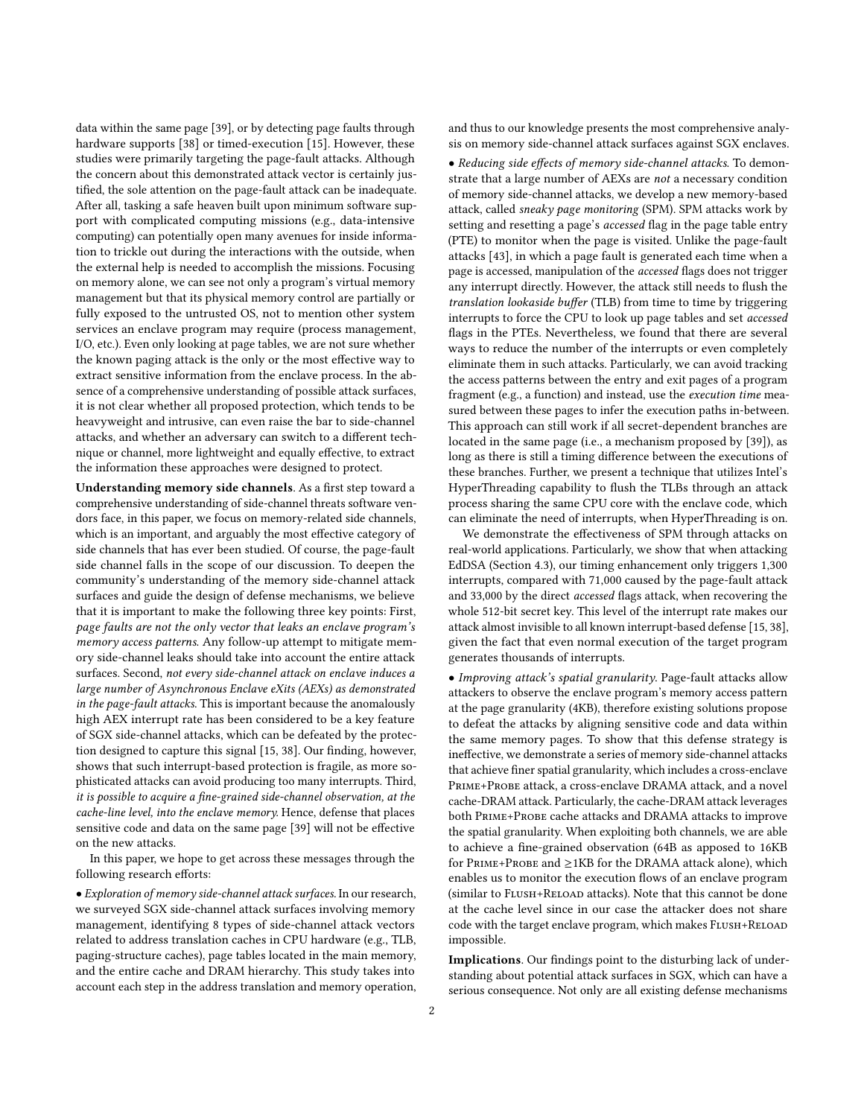data within the same page [\[39\]](#page-13-1), or by detecting page faults through hardware supports [\[38\]](#page-13-3) or timed-execution [\[15\]](#page-12-4). However, these studies were primarily targeting the page-fault attacks. Although the concern about this demonstrated attack vector is certainly justified, the sole attention on the page-fault attack can be inadequate. After all, tasking a safe heaven built upon minimum software support with complicated computing missions (e.g., data-intensive computing) can potentially open many avenues for inside information to trickle out during the interactions with the outside, when the external help is needed to accomplish the missions. Focusing on memory alone, we can see not only a program's virtual memory management but that its physical memory control are partially or fully exposed to the untrusted OS, not to mention other system services an enclave program may require (process management, I/O, etc.). Even only looking at page tables, we are not sure whether the known paging attack is the only or the most effective way to extract sensitive information from the enclave process. In the absence of a comprehensive understanding of possible attack surfaces, it is not clear whether all proposed protection, which tends to be heavyweight and intrusive, can even raise the bar to side-channel attacks, and whether an adversary can switch to a different technique or channel, more lightweight and equally effective, to extract the information these approaches were designed to protect.

Understanding memory side channels. As a first step toward a comprehensive understanding of side-channel threats software vendors face, in this paper, we focus on memory-related side channels, which is an important, and arguably the most effective category of side channels that has ever been studied. Of course, the page-fault side channel falls in the scope of our discussion. To deepen the community's understanding of the memory side-channel attack surfaces and guide the design of defense mechanisms, we believe that it is important to make the following three key points: First, page faults are not the only vector that leaks an enclave program's memory access patterns. Any follow-up attempt to mitigate memory side-channel leaks should take into account the entire attack surfaces. Second, not every side-channel attack on enclave induces a large number of Asynchronous Enclave eXits (AEXs) as demonstrated in the page-fault attacks. This is important because the anomalously high AEX interrupt rate has been considered to be a key feature of SGX side-channel attacks, which can be defeated by the protection designed to capture this signal [\[15,](#page-12-4) [38\]](#page-13-3). Our finding, however, shows that such interrupt-based protection is fragile, as more sophisticated attacks can avoid producing too many interrupts. Third, it is possible to acquire a fine-grained side-channel observation, at the cache-line level, into the enclave memory. Hence, defense that places sensitive code and data on the same page [\[39\]](#page-13-1) will not be effective on the new attacks.

In this paper, we hope to get across these messages through the following research efforts:

• Exploration of memory side-channel attack surfaces. In our research, we surveyed SGX side-channel attack surfaces involving memory management, identifying 8 types of side-channel attack vectors related to address translation caches in CPU hardware (e.g., TLB, paging-structure caches), page tables located in the main memory, and the entire cache and DRAM hierarchy. This study takes into account each step in the address translation and memory operation,

and thus to our knowledge presents the most comprehensive analysis on memory side-channel attack surfaces against SGX enclaves.

• Reducing side effects of memory side-channel attacks. To demonstrate that a large number of AEXs are not a necessary condition of memory side-channel attacks, we develop a new memory-based attack, called sneaky page monitoring (SPM). SPM attacks work by setting and resetting a page's accessed flag in the page table entry (PTE) to monitor when the page is visited. Unlike the page-fault attacks [\[43\]](#page-13-0), in which a page fault is generated each time when a page is accessed, manipulation of the accessed flags does not trigger any interrupt directly. However, the attack still needs to flush the translation lookaside buffer (TLB) from time to time by triggering interrupts to force the CPU to look up page tables and set accessed flags in the PTEs. Nevertheless, we found that there are several ways to reduce the number of the interrupts or even completely eliminate them in such attacks. Particularly, we can avoid tracking the access patterns between the entry and exit pages of a program fragment (e.g., a function) and instead, use the execution time measured between these pages to infer the execution paths in-between. This approach can still work if all secret-dependent branches are located in the same page (i.e., a mechanism proposed by [\[39\]](#page-13-1)), as long as there is still a timing difference between the executions of these branches. Further, we present a technique that utilizes Intel's HyperThreading capability to flush the TLBs through an attack process sharing the same CPU core with the enclave code, which can eliminate the need of interrupts, when HyperThreading is on.

We demonstrate the effectiveness of SPM through attacks on real-world applications. Particularly, we show that when attacking EdDSA (Section [4.3\)](#page-7-0), our timing enhancement only triggers 1,300 interrupts, compared with 71,000 caused by the page-fault attack and 33,000 by the direct accessed flags attack, when recovering the whole 512-bit secret key. This level of the interrupt rate makes our attack almost invisible to all known interrupt-based defense [\[15,](#page-12-4) [38\]](#page-13-3), given the fact that even normal execution of the target program generates thousands of interrupts.

• Improving attack's spatial granularity. Page-fault attacks allow attackers to observe the enclave program's memory access pattern at the page granularity (4KB), therefore existing solutions propose to defeat the attacks by aligning sensitive code and data within the same memory pages. To show that this defense strategy is ineffective, we demonstrate a series of memory side-channel attacks that achieve finer spatial granularity, which includes a cross-enclave Prime+Probe attack, a cross-enclave DRAMA attack, and a novel cache-DRAM attack. Particularly, the cache-DRAM attack leverages both Prime+Probe cache attacks and DRAMA attacks to improve the spatial granularity. When exploiting both channels, we are able to achieve a fine-grained observation (64B as apposed to 16KB for PRIME+PROBE and  $\geq$ 1KB for the DRAMA attack alone), which enables us to monitor the execution flows of an enclave program (similar to Flush+Reload attacks). Note that this cannot be done at the cache level since in our case the attacker does not share code with the target enclave program, which makes FLUSH+RELOAD impossible.

Implications. Our findings point to the disturbing lack of understanding about potential attack surfaces in SGX, which can have a serious consequence. Not only are all existing defense mechanisms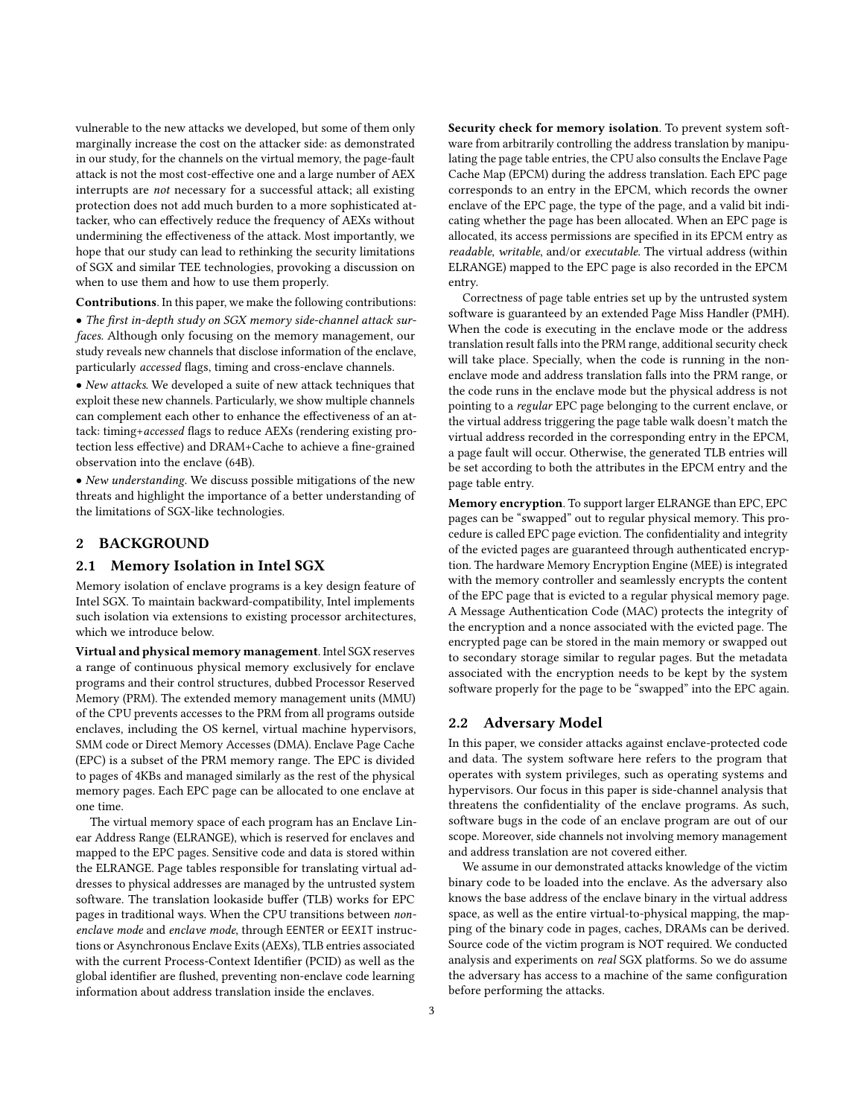vulnerable to the new attacks we developed, but some of them only marginally increase the cost on the attacker side: as demonstrated in our study, for the channels on the virtual memory, the page-fault attack is not the most cost-effective one and a large number of AEX interrupts are not necessary for a successful attack; all existing protection does not add much burden to a more sophisticated attacker, who can effectively reduce the frequency of AEXs without undermining the effectiveness of the attack. Most importantly, we hope that our study can lead to rethinking the security limitations of SGX and similar TEE technologies, provoking a discussion on when to use them and how to use them properly.

Contributions. In this paper, we make the following contributions:

• The first in-depth study on SGX memory side-channel attack surfaces. Although only focusing on the memory management, our study reveals new channels that disclose information of the enclave, particularly accessed flags, timing and cross-enclave channels.

• New attacks. We developed a suite of new attack techniques that exploit these new channels. Particularly, we show multiple channels can complement each other to enhance the effectiveness of an attack: timing+accessed flags to reduce AEXs (rendering existing protection less effective) and DRAM+Cache to achieve a fine-grained observation into the enclave (64B).

• New understanding. We discuss possible mitigations of the new threats and highlight the importance of a better understanding of the limitations of SGX-like technologies.

## 2 BACKGROUND

#### 2.1 Memory Isolation in Intel SGX

Memory isolation of enclave programs is a key design feature of Intel SGX. To maintain backward-compatibility, Intel implements such isolation via extensions to existing processor architectures, which we introduce below.

Virtual and physical memory management. Intel SGX reserves a range of continuous physical memory exclusively for enclave programs and their control structures, dubbed Processor Reserved Memory (PRM). The extended memory management units (MMU) of the CPU prevents accesses to the PRM from all programs outside enclaves, including the OS kernel, virtual machine hypervisors, SMM code or Direct Memory Accesses (DMA). Enclave Page Cache (EPC) is a subset of the PRM memory range. The EPC is divided to pages of 4KBs and managed similarly as the rest of the physical memory pages. Each EPC page can be allocated to one enclave at one time.

The virtual memory space of each program has an Enclave Linear Address Range (ELRANGE), which is reserved for enclaves and mapped to the EPC pages. Sensitive code and data is stored within the ELRANGE. Page tables responsible for translating virtual addresses to physical addresses are managed by the untrusted system software. The translation lookaside buffer (TLB) works for EPC pages in traditional ways. When the CPU transitions between nonenclave mode and enclave mode, through EENTER or EEXIT instructions or Asynchronous Enclave Exits (AEXs), TLB entries associated with the current Process-Context Identifier (PCID) as well as the global identifier are flushed, preventing non-enclave code learning information about address translation inside the enclaves.

Security check for memory isolation. To prevent system software from arbitrarily controlling the address translation by manipulating the page table entries, the CPU also consults the Enclave Page Cache Map (EPCM) during the address translation. Each EPC page corresponds to an entry in the EPCM, which records the owner enclave of the EPC page, the type of the page, and a valid bit indicating whether the page has been allocated. When an EPC page is allocated, its access permissions are specified in its EPCM entry as readable, writable, and/or executable. The virtual address (within ELRANGE) mapped to the EPC page is also recorded in the EPCM entry.

Correctness of page table entries set up by the untrusted system software is guaranteed by an extended Page Miss Handler (PMH). When the code is executing in the enclave mode or the address translation result falls into the PRM range, additional security check will take place. Specially, when the code is running in the nonenclave mode and address translation falls into the PRM range, or the code runs in the enclave mode but the physical address is not pointing to a regular EPC page belonging to the current enclave, or the virtual address triggering the page table walk doesn't match the virtual address recorded in the corresponding entry in the EPCM, a page fault will occur. Otherwise, the generated TLB entries will be set according to both the attributes in the EPCM entry and the page table entry.

Memory encryption. To support larger ELRANGE than EPC, EPC pages can be "swapped" out to regular physical memory. This procedure is called EPC page eviction. The confidentiality and integrity of the evicted pages are guaranteed through authenticated encryption. The hardware Memory Encryption Engine (MEE) is integrated with the memory controller and seamlessly encrypts the content of the EPC page that is evicted to a regular physical memory page. A Message Authentication Code (MAC) protects the integrity of the encryption and a nonce associated with the evicted page. The encrypted page can be stored in the main memory or swapped out to secondary storage similar to regular pages. But the metadata associated with the encryption needs to be kept by the system software properly for the page to be "swapped" into the EPC again.

#### 2.2 Adversary Model

In this paper, we consider attacks against enclave-protected code and data. The system software here refers to the program that operates with system privileges, such as operating systems and hypervisors. Our focus in this paper is side-channel analysis that threatens the confidentiality of the enclave programs. As such, software bugs in the code of an enclave program are out of our scope. Moreover, side channels not involving memory management and address translation are not covered either.

We assume in our demonstrated attacks knowledge of the victim binary code to be loaded into the enclave. As the adversary also knows the base address of the enclave binary in the virtual address space, as well as the entire virtual-to-physical mapping, the mapping of the binary code in pages, caches, DRAMs can be derived. Source code of the victim program is NOT required. We conducted analysis and experiments on real SGX platforms. So we do assume the adversary has access to a machine of the same configuration before performing the attacks.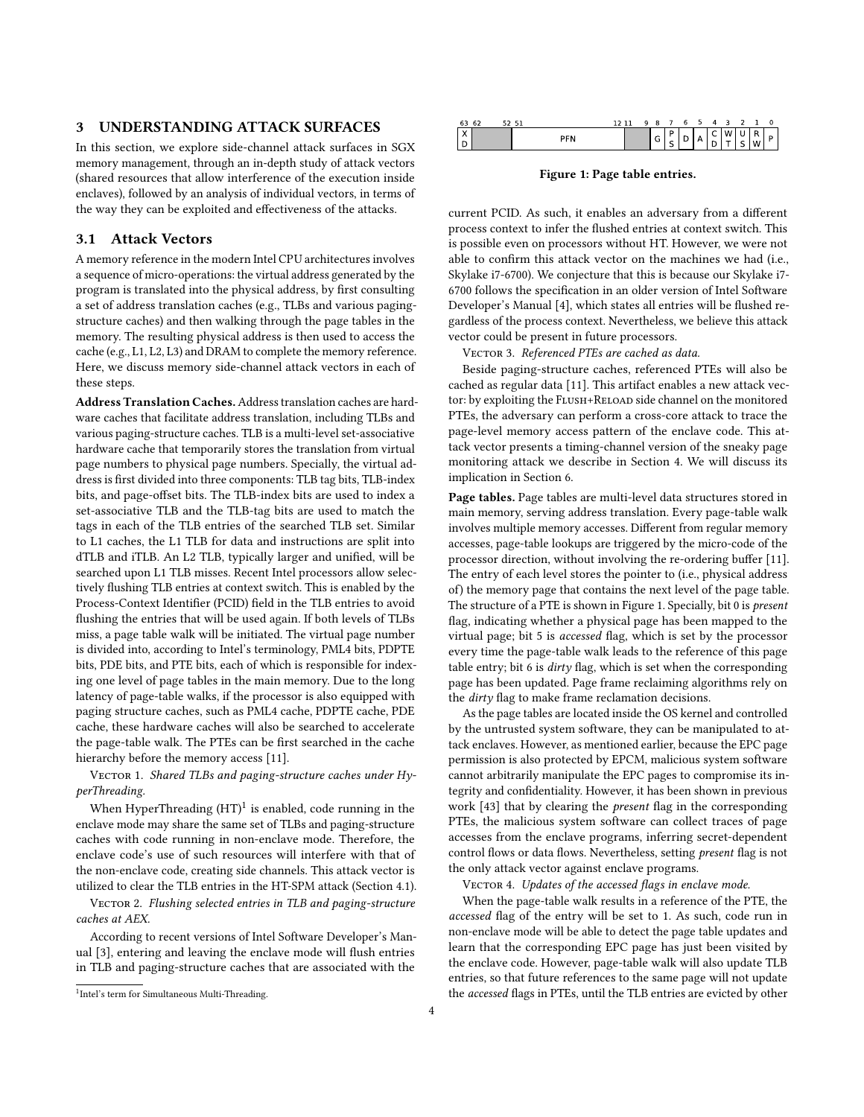# 3 UNDERSTANDING ATTACK SURFACES

In this section, we explore side-channel attack surfaces in SGX memory management, through an in-depth study of attack vectors (shared resources that allow interference of the execution inside enclaves), followed by an analysis of individual vectors, in terms of the way they can be exploited and effectiveness of the attacks.

# 3.1 Attack Vectors

A memory reference in the modern Intel CPU architectures involves a sequence of micro-operations: the virtual address generated by the program is translated into the physical address, by first consulting a set of address translation caches (e.g., TLBs and various pagingstructure caches) and then walking through the page tables in the memory. The resulting physical address is then used to access the cache (e.g., L1, L2, L3) and DRAM to complete the memory reference. Here, we discuss memory side-channel attack vectors in each of these steps.

Address Translation Caches. Address translation caches are hardware caches that facilitate address translation, including TLBs and various paging-structure caches. TLB is a multi-level set-associative hardware cache that temporarily stores the translation from virtual page numbers to physical page numbers. Specially, the virtual address is first divided into three components: TLB tag bits, TLB-index bits, and page-offset bits. The TLB-index bits are used to index a set-associative TLB and the TLB-tag bits are used to match the tags in each of the TLB entries of the searched TLB set. Similar to L1 caches, the L1 TLB for data and instructions are split into dTLB and iTLB. An L2 TLB, typically larger and unified, will be searched upon L1 TLB misses. Recent Intel processors allow selectively flushing TLB entries at context switch. This is enabled by the Process-Context Identifier (PCID) field in the TLB entries to avoid flushing the entries that will be used again. If both levels of TLBs miss, a page table walk will be initiated. The virtual page number is divided into, according to Intel's terminology, PML4 bits, PDPTE bits, PDE bits, and PTE bits, each of which is responsible for indexing one level of page tables in the main memory. Due to the long latency of page-table walks, if the processor is also equipped with paging structure caches, such as PML4 cache, PDPTE cache, PDE cache, these hardware caches will also be searched to accelerate the page-table walk. The PTEs can be first searched in the cache hierarchy before the memory access [\[11\]](#page-12-5).

VECTOR 1. Shared TLBs and paging-structure caches under HyperThreading.

When HyperThreading  $(HT)^1$  $(HT)^1$  is enabled, code running in the enclave mode may share the same set of TLBs and paging-structure caches with code running in non-enclave mode. Therefore, the enclave code's use of such resources will interfere with that of the non-enclave code, creating side channels. This attack vector is utilized to clear the TLB entries in the HT-SPM attack (Section [4.1\)](#page-5-0).

VECTOR 2. Flushing selected entries in TLB and paging-structure caches at AEX.

According to recent versions of Intel Software Developer's Manual [\[3\]](#page-12-6), entering and leaving the enclave mode will flush entries in TLB and paging-structure caches that are associated with the

<span id="page-3-0"></span>

<span id="page-3-1"></span>

|   |  | ົ | -8     | 65   |             | $-3$ 2 $\pm$ |   |     |
|---|--|---|--------|------|-------------|--------------|---|-----|
| L |  |   | $\sim$ | n II | $\sim$<br>◡ | 1W           | R | I n |

Figure 1: Page table entries.

current PCID. As such, it enables an adversary from a different process context to infer the flushed entries at context switch. This is possible even on processors without HT. However, we were not able to confirm this attack vector on the machines we had (i.e., Skylake i7-6700). We conjecture that this is because our Skylake i7- 6700 follows the specification in an older version of Intel Software Developer's Manual [\[4\]](#page-12-7), which states all entries will be flushed regardless of the process context. Nevertheless, we believe this attack vector could be present in future processors.

VECTOR 3. Referenced PTEs are cached as data.

Beside paging-structure caches, referenced PTEs will also be cached as regular data [\[11\]](#page-12-5). This artifact enables a new attack vector: by exploiting the FLUSH+RELOAD side channel on the monitored PTEs, the adversary can perform a cross-core attack to trace the page-level memory access pattern of the enclave code. This attack vector presents a timing-channel version of the sneaky page monitoring attack we describe in Section [4.](#page-5-1) We will discuss its implication in Section [6.](#page-10-0)

Page tables. Page tables are multi-level data structures stored in main memory, serving address translation. Every page-table walk involves multiple memory accesses. Different from regular memory accesses, page-table lookups are triggered by the micro-code of the processor direction, without involving the re-ordering buffer [\[11\]](#page-12-5). The entry of each level stores the pointer to (i.e., physical address of) the memory page that contains the next level of the page table. The structure of a PTE is shown in Figure [1.](#page-3-1) Specially, bit 0 is present flag, indicating whether a physical page has been mapped to the virtual page; bit 5 is accessed flag, which is set by the processor every time the page-table walk leads to the reference of this page table entry; bit 6 is dirty flag, which is set when the corresponding page has been updated. Page frame reclaiming algorithms rely on the dirty flag to make frame reclamation decisions.

As the page tables are located inside the OS kernel and controlled by the untrusted system software, they can be manipulated to attack enclaves. However, as mentioned earlier, because the EPC page permission is also protected by EPCM, malicious system software cannot arbitrarily manipulate the EPC pages to compromise its integrity and confidentiality. However, it has been shown in previous work [\[43\]](#page-13-0) that by clearing the present flag in the corresponding PTEs, the malicious system software can collect traces of page accesses from the enclave programs, inferring secret-dependent control flows or data flows. Nevertheless, setting present flag is not the only attack vector against enclave programs.

VECTOR 4. Updates of the accessed flags in enclave mode.

When the page-table walk results in a reference of the PTE, the accessed flag of the entry will be set to 1. As such, code run in non-enclave mode will be able to detect the page table updates and learn that the corresponding EPC page has just been visited by the enclave code. However, page-table walk will also update TLB entries, so that future references to the same page will not update the accessed flags in PTEs, until the TLB entries are evicted by other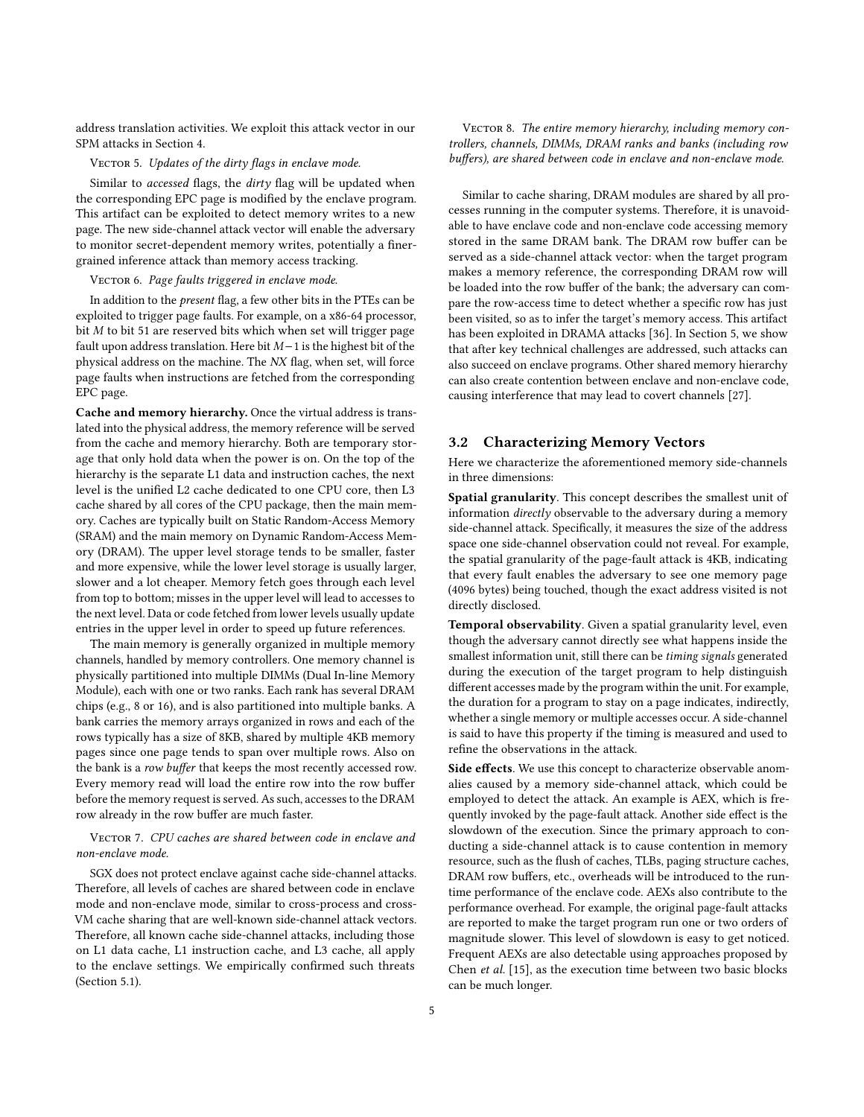address translation activities. We exploit this attack vector in our SPM attacks in Section [4.](#page-5-1)

VECTOR 5. Updates of the dirty flags in enclave mode.

Similar to accessed flags, the dirty flag will be updated when the corresponding EPC page is modified by the enclave program. This artifact can be exploited to detect memory writes to a new page. The new side-channel attack vector will enable the adversary to monitor secret-dependent memory writes, potentially a finergrained inference attack than memory access tracking.

#### VECTOR 6. Page faults triggered in enclave mode.

In addition to the present flag, a few other bits in the PTEs can be exploited to trigger page faults. For example, on a x86-64 processor, bit M to bit 51 are reserved bits which when set will trigger page fault upon address translation. Here bit  $M-1$  is the highest bit of the physical address on the machine. The NX flag, when set, will force page faults when instructions are fetched from the corresponding EPC page.

Cache and memory hierarchy. Once the virtual address is translated into the physical address, the memory reference will be served from the cache and memory hierarchy. Both are temporary storage that only hold data when the power is on. On the top of the hierarchy is the separate L1 data and instruction caches, the next level is the unified L2 cache dedicated to one CPU core, then L3 cache shared by all cores of the CPU package, then the main memory. Caches are typically built on Static Random-Access Memory (SRAM) and the main memory on Dynamic Random-Access Memory (DRAM). The upper level storage tends to be smaller, faster and more expensive, while the lower level storage is usually larger, slower and a lot cheaper. Memory fetch goes through each level from top to bottom; misses in the upper level will lead to accesses to the next level. Data or code fetched from lower levels usually update entries in the upper level in order to speed up future references.

The main memory is generally organized in multiple memory channels, handled by memory controllers. One memory channel is physically partitioned into multiple DIMMs (Dual In-line Memory Module), each with one or two ranks. Each rank has several DRAM chips (e.g., 8 or 16), and is also partitioned into multiple banks. A bank carries the memory arrays organized in rows and each of the rows typically has a size of 8KB, shared by multiple 4KB memory pages since one page tends to span over multiple rows. Also on the bank is a row buffer that keeps the most recently accessed row. Every memory read will load the entire row into the row buffer before the memory request is served. As such, accesses to the DRAM row already in the row buffer are much faster.

## VECTOR 7. CPU caches are shared between code in enclave and non-enclave mode.

SGX does not protect enclave against cache side-channel attacks. Therefore, all levels of caches are shared between code in enclave mode and non-enclave mode, similar to cross-process and cross-VM cache sharing that are well-known side-channel attack vectors. Therefore, all known cache side-channel attacks, including those on L1 data cache, L1 instruction cache, and L3 cache, all apply to the enclave settings. We empirically confirmed such threats (Section [5.1\)](#page-8-0).

VECTOR 8. The entire memory hierarchy, including memory controllers, channels, DIMMs, DRAM ranks and banks (including row buffers), are shared between code in enclave and non-enclave mode.

Similar to cache sharing, DRAM modules are shared by all processes running in the computer systems. Therefore, it is unavoidable to have enclave code and non-enclave code accessing memory stored in the same DRAM bank. The DRAM row buffer can be served as a side-channel attack vector: when the target program makes a memory reference, the corresponding DRAM row will be loaded into the row buffer of the bank; the adversary can compare the row-access time to detect whether a specific row has just been visited, so as to infer the target's memory access. This artifact has been exploited in DRAMA attacks [\[36\]](#page-13-4). In Section [5,](#page-8-1) we show that after key technical challenges are addressed, such attacks can also succeed on enclave programs. Other shared memory hierarchy can also create contention between enclave and non-enclave code, causing interference that may lead to covert channels [\[27\]](#page-13-5).

#### 3.2 Characterizing Memory Vectors

Here we characterize the aforementioned memory side-channels in three dimensions:

Spatial granularity. This concept describes the smallest unit of information directly observable to the adversary during a memory side-channel attack. Specifically, it measures the size of the address space one side-channel observation could not reveal. For example, the spatial granularity of the page-fault attack is 4KB, indicating that every fault enables the adversary to see one memory page (4096 bytes) being touched, though the exact address visited is not directly disclosed.

Temporal observability. Given a spatial granularity level, even though the adversary cannot directly see what happens inside the smallest information unit, still there can be timing signals generated during the execution of the target program to help distinguish different accesses made by the program within the unit. For example, the duration for a program to stay on a page indicates, indirectly, whether a single memory or multiple accesses occur. A side-channel is said to have this property if the timing is measured and used to refine the observations in the attack.

Side effects. We use this concept to characterize observable anomalies caused by a memory side-channel attack, which could be employed to detect the attack. An example is AEX, which is frequently invoked by the page-fault attack. Another side effect is the slowdown of the execution. Since the primary approach to conducting a side-channel attack is to cause contention in memory resource, such as the flush of caches, TLBs, paging structure caches, DRAM row buffers, etc., overheads will be introduced to the runtime performance of the enclave code. AEXs also contribute to the performance overhead. For example, the original page-fault attacks are reported to make the target program run one or two orders of magnitude slower. This level of slowdown is easy to get noticed. Frequent AEXs are also detectable using approaches proposed by Chen et al. [\[15\]](#page-12-4), as the execution time between two basic blocks can be much longer.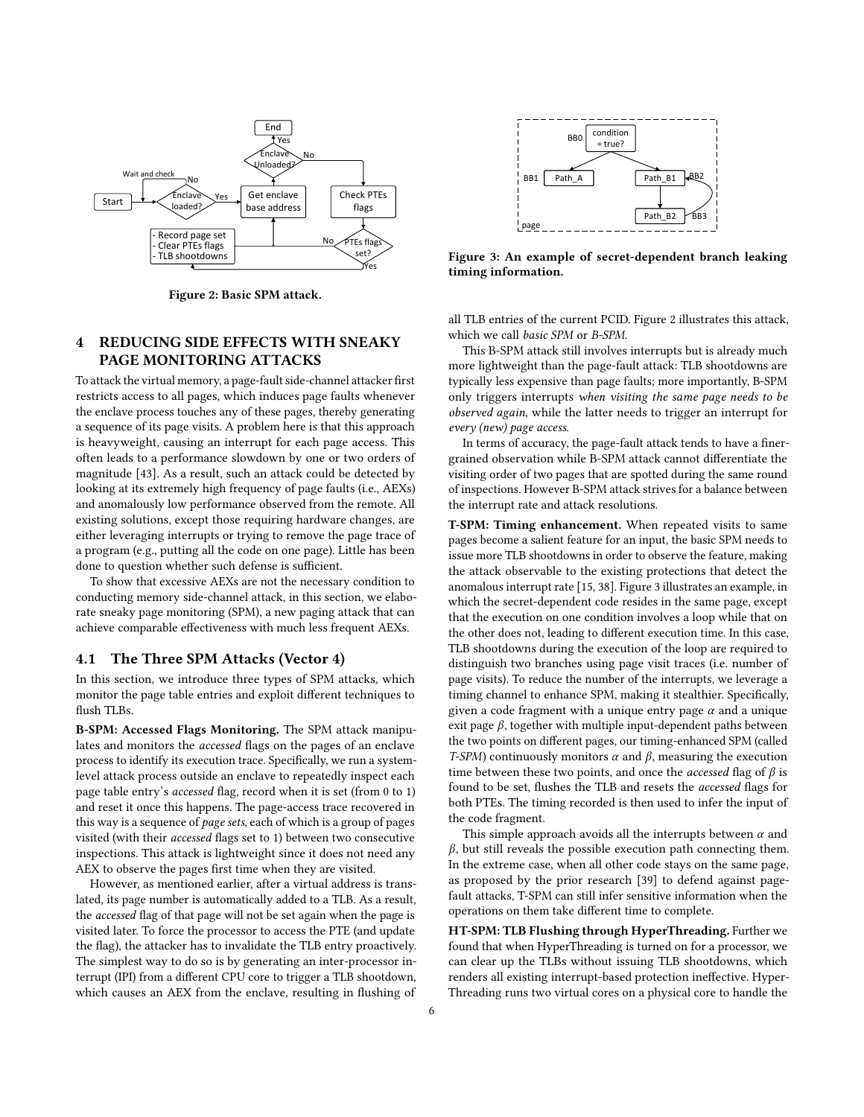<span id="page-5-2"></span>

Figure 2: Basic SPM attack.

# <span id="page-5-1"></span>4 REDUCING SIDE EFFECTS WITH SNEAKY PAGE MONITORING ATTACKS

To attack the virtual memory, a page-fault side-channel attacker first restricts access to all pages, which induces page faults whenever the enclave process touches any of these pages, thereby generating a sequence of its page visits. A problem here is that this approach is heavyweight, causing an interrupt for each page access. This often leads to a performance slowdown by one or two orders of magnitude [\[43\]](#page-13-0). As a result, such an attack could be detected by looking at its extremely high frequency of page faults (i.e., AEXs) and anomalously low performance observed from the remote. All existing solutions, except those requiring hardware changes, are either leveraging interrupts or trying to remove the page trace of a program (e.g., putting all the code on one page). Little has been done to question whether such defense is sufficient.

To show that excessive AEXs are not the necessary condition to conducting memory side-channel attack, in this section, we elaborate sneaky page monitoring (SPM), a new paging attack that can achieve comparable effectiveness with much less frequent AEXs.

## 4.1 The Three SPM Attacks (Vector 4)

In this section, we introduce three types of SPM attacks, which monitor the page table entries and exploit different techniques to flush TLBs.

B-SPM: Accessed Flags Monitoring. The SPM attack manipulates and monitors the accessed flags on the pages of an enclave process to identify its execution trace. Specifically, we run a systemlevel attack process outside an enclave to repeatedly inspect each page table entry's accessed flag, record when it is set (from 0 to 1) and reset it once this happens. The page-access trace recovered in this way is a sequence of page sets, each of which is a group of pages visited (with their accessed flags set to 1) between two consecutive inspections. This attack is lightweight since it does not need any AEX to observe the pages first time when they are visited.

However, as mentioned earlier, after a virtual address is translated, its page number is automatically added to a TLB. As a result, the accessed flag of that page will not be set again when the page is visited later. To force the processor to access the PTE (and update the flag), the attacker has to invalidate the TLB entry proactively. The simplest way to do so is by generating an inter-processor interrupt (IPI) from a different CPU core to trigger a TLB shootdown, which causes an AEX from the enclave, resulting in flushing of

<span id="page-5-0"></span>

Figure 3: An example of secret-dependent branch leaking timing information.

all TLB entries of the current PCID. Figure [2](#page-5-2) illustrates this attack, which we call basic SPM or B-SPM.

This B-SPM attack still involves interrupts but is already much more lightweight than the page-fault attack: TLB shootdowns are typically less expensive than page faults; more importantly, B-SPM only triggers interrupts when visiting the same page needs to be observed again, while the latter needs to trigger an interrupt for every (new) page access.

In terms of accuracy, the page-fault attack tends to have a finergrained observation while B-SPM attack cannot differentiate the visiting order of two pages that are spotted during the same round of inspections. However B-SPM attack strives for a balance between the interrupt rate and attack resolutions.

T-SPM: Timing enhancement. When repeated visits to same pages become a salient feature for an input, the basic SPM needs to issue more TLB shootdowns in order to observe the feature, making the attack observable to the existing protections that detect the anomalous interrupt rate [\[15,](#page-12-4) [38\]](#page-13-3). Figure [3](#page-5-0) illustrates an example, in which the secret-dependent code resides in the same page, except that the execution on one condition involves a loop while that on the other does not, leading to different execution time. In this case, TLB shootdowns during the execution of the loop are required to distinguish two branches using page visit traces (i.e. number of page visits). To reduce the number of the interrupts, we leverage a timing channel to enhance SPM, making it stealthier. Specifically, given a code fragment with a unique entry page  $\alpha$  and a unique exit page  $\beta$ , together with multiple input-dependent paths between the two points on different pages, our timing-enhanced SPM (called T-SPM) continuously monitors  $\alpha$  and  $\beta$ , measuring the execution time between these two points, and once the *accessed* flag of  $\beta$  is found to be set, flushes the TLB and resets the accessed flags for both PTEs. The timing recorded is then used to infer the input of the code fragment.

This simple approach avoids all the interrupts between  $\alpha$  and  $\beta$ , but still reveals the possible execution path connecting them. In the extreme case, when all other code stays on the same page, as proposed by the prior research [\[39\]](#page-13-1) to defend against pagefault attacks, T-SPM can still infer sensitive information when the operations on them take different time to complete.

HT-SPM: TLB Flushing through HyperThreading. Further we found that when HyperThreading is turned on for a processor, we can clear up the TLBs without issuing TLB shootdowns, which renders all existing interrupt-based protection ineffective. Hyper-Threading runs two virtual cores on a physical core to handle the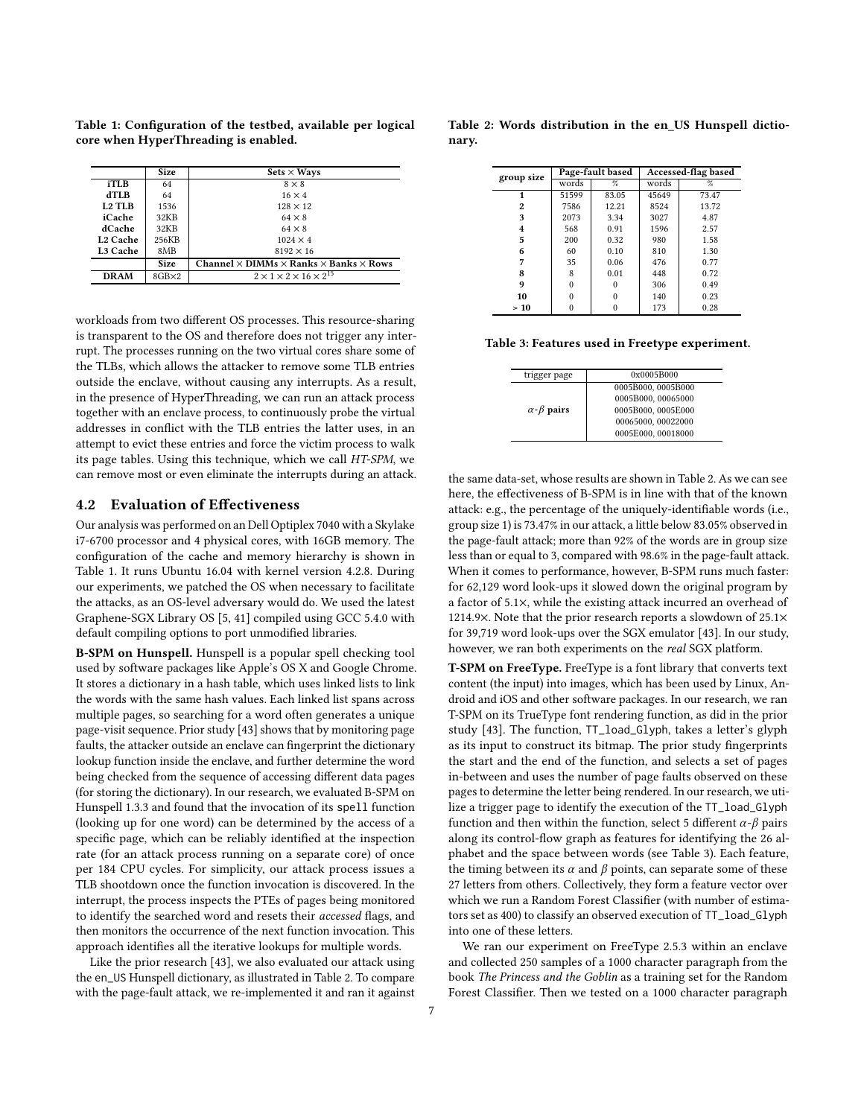<span id="page-6-0"></span>Table 1: Configuration of the testbed, available per logical core when HyperThreading is enabled.

|                      | <b>Size</b>  | $Sets \times Ways$                                                 |
|----------------------|--------------|--------------------------------------------------------------------|
| iTLB                 | 64           | $8 \times 8$                                                       |
| <b>dTLB</b>          | 64           | $16 \times 4$                                                      |
| $L2$ TLB             | 1536         | $128 \times 12$                                                    |
| iCache               | 32KB         | $64 \times 8$                                                      |
| dCache               | 32KB         | $64 \times 8$                                                      |
| L <sub>2</sub> Cache | 256KB        | $1024 \times 4$                                                    |
| <b>L3 Cache</b>      | 8MB          | $8192 \times 16$                                                   |
|                      | <b>Size</b>  | Channel $\times$ DIMMs $\times$ Ranks $\times$ Banks $\times$ Rows |
| <b>DRAM</b>          | $8GB\times2$ | $2 \times 1 \times 2 \times 16 \times 2^{15}$                      |

workloads from two different OS processes. This resource-sharing is transparent to the OS and therefore does not trigger any interrupt. The processes running on the two virtual cores share some of the TLBs, which allows the attacker to remove some TLB entries outside the enclave, without causing any interrupts. As a result, in the presence of HyperThreading, we can run an attack process together with an enclave process, to continuously probe the virtual addresses in conflict with the TLB entries the latter uses, in an attempt to evict these entries and force the victim process to walk its page tables. Using this technique, which we call HT-SPM, we can remove most or even eliminate the interrupts during an attack.

## 4.2 Evaluation of Effectiveness

Our analysis was performed on an Dell Optiplex 7040 with a Skylake i7-6700 processor and 4 physical cores, with 16GB memory. The configuration of the cache and memory hierarchy is shown in Table [1.](#page-6-0) It runs Ubuntu 16.04 with kernel version 4.2.8. During our experiments, we patched the OS when necessary to facilitate the attacks, as an OS-level adversary would do. We used the latest Graphene-SGX Library OS [\[5,](#page-12-8) [41\]](#page-13-6) compiled using GCC 5.4.0 with default compiling options to port unmodified libraries.

B-SPM on Hunspell. Hunspell is a popular spell checking tool used by software packages like Apple's OS X and Google Chrome. It stores a dictionary in a hash table, which uses linked lists to link the words with the same hash values. Each linked list spans across multiple pages, so searching for a word often generates a unique page-visit sequence. Prior study [\[43\]](#page-13-0) shows that by monitoring page faults, the attacker outside an enclave can fingerprint the dictionary lookup function inside the enclave, and further determine the word being checked from the sequence of accessing different data pages (for storing the dictionary). In our research, we evaluated B-SPM on Hunspell 1.3.3 and found that the invocation of its spell function (looking up for one word) can be determined by the access of a specific page, which can be reliably identified at the inspection rate (for an attack process running on a separate core) of once per 184 CPU cycles. For simplicity, our attack process issues a TLB shootdown once the function invocation is discovered. In the interrupt, the process inspects the PTEs of pages being monitored to identify the searched word and resets their accessed flags, and then monitors the occurrence of the next function invocation. This approach identifies all the iterative lookups for multiple words.

Like the prior research [\[43\]](#page-13-0), we also evaluated our attack using the en\_US Hunspell dictionary, as illustrated in Table [2.](#page-6-1) To compare with the page-fault attack, we re-implemented it and ran it against

<span id="page-6-1"></span>Table 2: Words distribution in the en\_US Hunspell dictionary.

| group size   | Page-fault based |          | Accessed-flag based |       |  |
|--------------|------------------|----------|---------------------|-------|--|
|              | words            | $\%$     | words               | %     |  |
| 1            | 51599            | 83.05    | 45649               | 73.47 |  |
| $\mathbf{2}$ | 7586             | 12.21    | 8524                | 13.72 |  |
| 3            | 2073             | 3.34     | 3027                | 4.87  |  |
| 4            | 568              | 0.91     | 1596                | 2.57  |  |
| 5            | 200              | 0.32     | 980                 | 1.58  |  |
| 6            | 60               | 0.10     | 810                 | 1.30  |  |
| 7            | 35               | 0.06     | 476                 | 0.77  |  |
| 8            | 8                | 0.01     | 448                 | 0.72  |  |
| 9            | $\Omega$         | O        | 306                 | 0.49  |  |
| 10           |                  | $\Omega$ | 140                 | 0.23  |  |
| >10          |                  |          | 173                 | 0.28  |  |

<span id="page-6-2"></span>Table 3: Features used in Freetype experiment.

| trigger page             | 0x0005B000         |
|--------------------------|--------------------|
|                          | 0005B000, 0005B000 |
|                          | 0005B000, 00065000 |
| $\alpha$ - $\beta$ pairs | 0005B000, 0005E000 |
|                          | 00065000, 00022000 |
|                          | 0005E000, 00018000 |

the same data-set, whose results are shown in Table [2.](#page-6-1) As we can see here, the effectiveness of B-SPM is in line with that of the known attack: e.g., the percentage of the uniquely-identifiable words (i.e., group size 1) is 73.47% in our attack, a little below 83.05% observed in the page-fault attack; more than 92% of the words are in group size less than or equal to 3, compared with 98.6% in the page-fault attack. When it comes to performance, however, B-SPM runs much faster: for 62,129 word look-ups it slowed down the original program by a factor of 5.1×, while the existing attack incurred an overhead of 1214.9×. Note that the prior research reports a slowdown of 25.1× for 39,719 word look-ups over the SGX emulator [\[43\]](#page-13-0). In our study, however, we ran both experiments on the real SGX platform.

T-SPM on FreeType. FreeType is a font library that converts text content (the input) into images, which has been used by Linux, Android and iOS and other software packages. In our research, we ran T-SPM on its TrueType font rendering function, as did in the prior study [\[43\]](#page-13-0). The function, TT\_load\_Glyph, takes a letter's glyph as its input to construct its bitmap. The prior study fingerprints the start and the end of the function, and selects a set of pages in-between and uses the number of page faults observed on these pages to determine the letter being rendered. In our research, we utilize a trigger page to identify the execution of the TT\_load\_Glyph function and then within the function, select 5 different  $\alpha$ - $\beta$  pairs along its control-flow graph as features for identifying the 26 alphabet and the space between words (see Table [3\)](#page-6-2). Each feature, the timing between its  $\alpha$  and  $\beta$  points, can separate some of these 27 letters from others. Collectively, they form a feature vector over which we run a Random Forest Classifier (with number of estimators set as 400) to classify an observed execution of TT\_load\_Glyph into one of these letters.

We ran our experiment on FreeType 2.5.3 within an enclave and collected 250 samples of a 1000 character paragraph from the book The Princess and the Goblin as a training set for the Random Forest Classifier. Then we tested on a 1000 character paragraph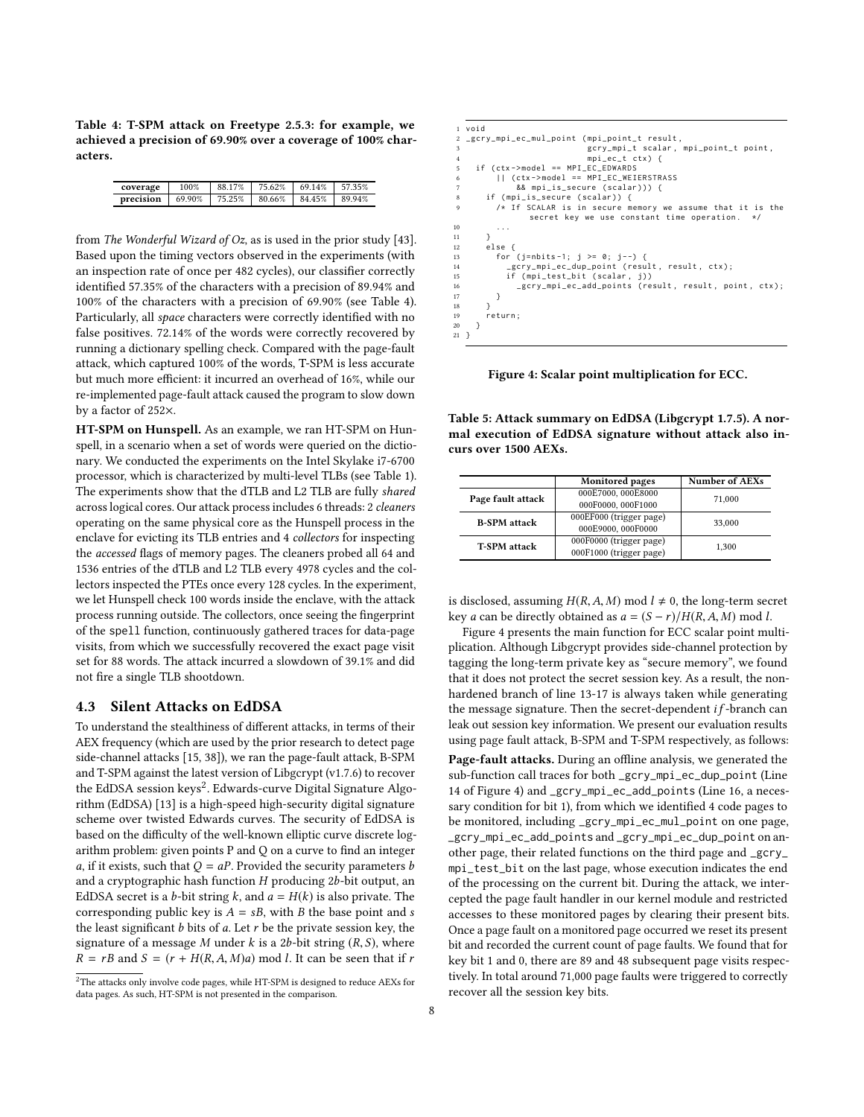<span id="page-7-1"></span>Table 4: T-SPM attack on Freetype 2.5.3: for example, we achieved a precision of 69.90% over a coverage of 100% characters.

| coverage  | 100%   | 88.17% | 75.62% | 69.14% | 57.35% |
|-----------|--------|--------|--------|--------|--------|
| precision | 69.90% | 75.25% | 80.66% | 84.45% | 89.94% |

from The Wonderful Wizard of Oz, as is used in the prior study [\[43\]](#page-13-0). Based upon the timing vectors observed in the experiments (with an inspection rate of once per 482 cycles), our classifier correctly identified 57.35% of the characters with a precision of 89.94% and 100% of the characters with a precision of 69.90% (see Table [4\)](#page-7-1). Particularly, all space characters were correctly identified with no false positives. 72.14% of the words were correctly recovered by running a dictionary spelling check. Compared with the page-fault attack, which captured 100% of the words, T-SPM is less accurate but much more efficient: it incurred an overhead of 16%, while our re-implemented page-fault attack caused the program to slow down by a factor of 252×.

HT-SPM on Hunspell. As an example, we ran HT-SPM on Hunspell, in a scenario when a set of words were queried on the dictionary. We conducted the experiments on the Intel Skylake i7-6700 processor, which is characterized by multi-level TLBs (see Table [1\)](#page-6-0). The experiments show that the dTLB and L2 TLB are fully shared across logical cores. Our attack process includes 6 threads: 2 cleaners operating on the same physical core as the Hunspell process in the enclave for evicting its TLB entries and 4 collectors for inspecting the accessed flags of memory pages. The cleaners probed all 64 and 1536 entries of the dTLB and L2 TLB every 4978 cycles and the collectors inspected the PTEs once every 128 cycles. In the experiment, we let Hunspell check 100 words inside the enclave, with the attack process running outside. The collectors, once seeing the fingerprint of the spell function, continuously gathered traces for data-page visits, from which we successfully recovered the exact page visit set for 88 words. The attack incurred a slowdown of 39.1% and did not fire a single TLB shootdown.

## <span id="page-7-0"></span>4.3 Silent Attacks on EdDSA

To understand the stealthiness of different attacks, in terms of their AEX frequency (which are used by the prior research to detect page side-channel attacks [\[15,](#page-12-4) [38\]](#page-13-3)), we ran the page-fault attack, B-SPM and T-SPM against the latest version of Libgcrypt (v1.7.6) to recover the EdDSA session keys[2](#page-7-2) . Edwards-curve Digital Signature Algorithm (EdDSA) [\[13\]](#page-12-9) is a high-speed high-security digital signature scheme over twisted Edwards curves. The security of EdDSA is based on the difficulty of the well-known elliptic curve discrete logarithm problem: given points P and Q on a curve to find an integer a, if it exists, such that  $Q = aP$ . Provided the security parameters b and a cryptographic hash function H producing <sup>2</sup>b-bit output, an EdDSA secret is a *b*-bit string *k*, and  $a = H(k)$  is also private. The corresponding public key is  $A = sB$ , with B the base point and s the least significant  $b$  bits of  $a$ . Let  $r$  be the private session key, the signature of a message M under k is a 2b-bit string  $(R, S)$ , where  $R = rB$  and  $S = (r + H(R, A, M)a)$  mod l. It can be seen that if r

<span id="page-7-2"></span>

<span id="page-7-3"></span>

|                | 1 void                                                    |
|----------------|-----------------------------------------------------------|
|                | 2 _gcry_mpi_ec_mul_point (mpi_point_t result,             |
| 3              | gcry_mpi_t scalar, mpi_point_t point,                     |
| $\overline{4}$ | $mpi_ec_t$ ctx) {                                         |
| 5              | if (ctx->model == MPI_EC_EDWARDS                          |
| 6              | (ctx->model == MPI_EC_WEIERSTRASS                         |
| $\overline{7}$ | && mpi_is_secure (scalar))) {                             |
| 8              | if (mpi_is_secure (scalar)) {                             |
| 9              | /* If SCALAR is in secure memory we assume that it is the |
|                | secret key we use constant time operation. */             |
| 10             | .                                                         |
| 11             | Y                                                         |
| 12             | else {                                                    |
| 13             | for (j=nbits-1; j >= 0; j--) {                            |
| 14             | _gcry_mpi_ec_dup_point (result, result, ctx);             |
| 15             | if (mpi_test_bit (scalar, j))                             |
| 16             | _gcry_mpi_ec_add_points (result, result, point, ctx);     |
| 17             | 7                                                         |
| 18             | }                                                         |
| 19             | return;                                                   |
| 20             | }                                                         |
| $21$ }         |                                                           |

Figure 4: Scalar point multiplication for ECC.

<span id="page-7-4"></span>Table 5: Attack summary on EdDSA (Libgcrypt 1.7.5). A normal execution of EdDSA signature without attack also incurs over 1500 AEXs.

|                     | <b>Monitored pages</b>                             | <b>Number of AEXs</b> |
|---------------------|----------------------------------------------------|-----------------------|
| Page fault attack   | 000E7000, 000E8000<br>000F0000, 000F1000           | 71,000                |
| <b>B-SPM</b> attack | 000EF000 (trigger page)<br>000E9000, 000F0000      | 33,000                |
| <b>T-SPM</b> attack | 000F0000 (trigger page)<br>000F1000 (trigger page) | 1,300                 |

is disclosed, assuming  $H(R, A, M)$  mod  $l \neq 0$ , the long-term secret key *a* can be directly obtained as  $a = (S - r)/H(R, A, M) \text{ mod } l$ .

Figure [4](#page-7-3) presents the main function for ECC scalar point multiplication. Although Libgcrypt provides side-channel protection by tagging the long-term private key as "secure memory", we found that it does not protect the secret session key. As a result, the nonhardened branch of line 13-17 is always taken while generating the message signature. Then the secret-dependent  $if$ -branch can leak out session key information. We present our evaluation results using page fault attack, B-SPM and T-SPM respectively, as follows:

Page-fault attacks. During an offline analysis, we generated the sub-function call traces for both \_gcry\_mpi\_ec\_dup\_point (Line 14 of Figure [4\)](#page-7-3) and \_gcry\_mpi\_ec\_add\_points (Line 16, a necessary condition for bit 1), from which we identified 4 code pages to be monitored, including \_gcry\_mpi\_ec\_mul\_point on one page, \_gcry\_mpi\_ec\_add\_points and \_gcry\_mpi\_ec\_dup\_point on another page, their related functions on the third page and \_gcry\_ mpi\_test\_bit on the last page, whose execution indicates the end of the processing on the current bit. During the attack, we intercepted the page fault handler in our kernel module and restricted accesses to these monitored pages by clearing their present bits. Once a page fault on a monitored page occurred we reset its present bit and recorded the current count of page faults. We found that for key bit 1 and 0, there are 89 and 48 subsequent page visits respectively. In total around 71,000 page faults were triggered to correctly recover all the session key bits.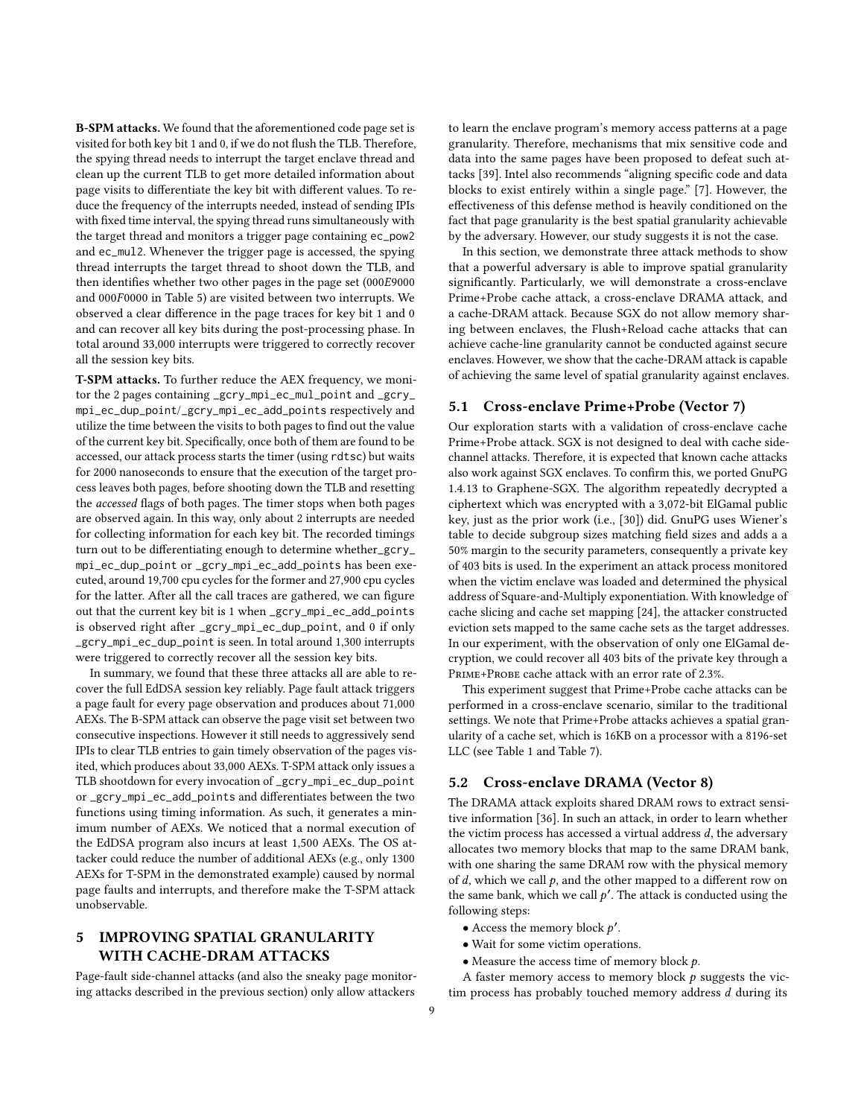B-SPM attacks. We found that the aforementioned code page set is visited for both key bit 1 and 0, if we do not flush the TLB. Therefore, the spying thread needs to interrupt the target enclave thread and clean up the current TLB to get more detailed information about page visits to differentiate the key bit with different values. To reduce the frequency of the interrupts needed, instead of sending IPIs with fixed time interval, the spying thread runs simultaneously with the target thread and monitors a trigger page containing ec\_pow2 and ec\_mul2. Whenever the trigger page is accessed, the spying thread interrupts the target thread to shoot down the TLB, and then identifies whether two other pages in the page set (000E<sup>9000</sup> and 000F0000 in Table [5\)](#page-7-4) are visited between two interrupts. We observed a clear difference in the page traces for key bit 1 and 0 and can recover all key bits during the post-processing phase. In total around 33,000 interrupts were triggered to correctly recover all the session key bits.

T-SPM attacks. To further reduce the AEX frequency, we monitor the 2 pages containing \_gcry\_mpi\_ec\_mul\_point and \_gcry\_ mpi\_ec\_dup\_point/\_gcry\_mpi\_ec\_add\_points respectively and utilize the time between the visits to both pages to find out the value of the current key bit. Specifically, once both of them are found to be accessed, our attack process starts the timer (using rdtsc) but waits for 2000 nanoseconds to ensure that the execution of the target process leaves both pages, before shooting down the TLB and resetting the accessed flags of both pages. The timer stops when both pages are observed again. In this way, only about 2 interrupts are needed for collecting information for each key bit. The recorded timings turn out to be differentiating enough to determine whether\_gcry\_ mpi\_ec\_dup\_point or \_gcry\_mpi\_ec\_add\_points has been executed, around 19,700 cpu cycles for the former and 27,900 cpu cycles for the latter. After all the call traces are gathered, we can figure out that the current key bit is 1 when \_gcry\_mpi\_ec\_add\_points is observed right after \_gcry\_mpi\_ec\_dup\_point, and 0 if only \_gcry\_mpi\_ec\_dup\_point is seen. In total around 1,300 interrupts were triggered to correctly recover all the session key bits.

In summary, we found that these three attacks all are able to recover the full EdDSA session key reliably. Page fault attack triggers a page fault for every page observation and produces about 71,000 AEXs. The B-SPM attack can observe the page visit set between two consecutive inspections. However it still needs to aggressively send IPIs to clear TLB entries to gain timely observation of the pages visited, which produces about 33,000 AEXs. T-SPM attack only issues a TLB shootdown for every invocation of \_gcry\_mpi\_ec\_dup\_point or \_gcry\_mpi\_ec\_add\_points and differentiates between the two functions using timing information. As such, it generates a minimum number of AEXs. We noticed that a normal execution of the EdDSA program also incurs at least 1,500 AEXs. The OS attacker could reduce the number of additional AEXs (e.g., only 1300 AEXs for T-SPM in the demonstrated example) caused by normal page faults and interrupts, and therefore make the T-SPM attack unobservable.

# <span id="page-8-1"></span>5 IMPROVING SPATIAL GRANULARITY WITH CACHE-DRAM ATTACKS

Page-fault side-channel attacks (and also the sneaky page monitoring attacks described in the previous section) only allow attackers

to learn the enclave program's memory access patterns at a page granularity. Therefore, mechanisms that mix sensitive code and data into the same pages have been proposed to defeat such attacks [\[39\]](#page-13-1). Intel also recommends "aligning specific code and data blocks to exist entirely within a single page." [\[7\]](#page-12-2). However, the effectiveness of this defense method is heavily conditioned on the fact that page granularity is the best spatial granularity achievable by the adversary. However, our study suggests it is not the case.

In this section, we demonstrate three attack methods to show that a powerful adversary is able to improve spatial granularity significantly. Particularly, we will demonstrate a cross-enclave Prime+Probe cache attack, a cross-enclave DRAMA attack, and a cache-DRAM attack. Because SGX do not allow memory sharing between enclaves, the Flush+Reload cache attacks that can achieve cache-line granularity cannot be conducted against secure enclaves. However, we show that the cache-DRAM attack is capable of achieving the same level of spatial granularity against enclaves.

## <span id="page-8-0"></span>5.1 Cross-enclave Prime+Probe (Vector 7)

Our exploration starts with a validation of cross-enclave cache Prime+Probe attack. SGX is not designed to deal with cache sidechannel attacks. Therefore, it is expected that known cache attacks also work against SGX enclaves. To confirm this, we ported GnuPG 1.4.13 to Graphene-SGX. The algorithm repeatedly decrypted a ciphertext which was encrypted with a 3,072-bit ElGamal public key, just as the prior work (i.e., [\[30\]](#page-13-7)) did. GnuPG uses Wiener's table to decide subgroup sizes matching field sizes and adds a a 50% margin to the security parameters, consequently a private key of 403 bits is used. In the experiment an attack process monitored when the victim enclave was loaded and determined the physical address of Square-and-Multiply exponentiation. With knowledge of cache slicing and cache set mapping [\[24\]](#page-13-8), the attacker constructed eviction sets mapped to the same cache sets as the target addresses. In our experiment, with the observation of only one ElGamal decryption, we could recover all 403 bits of the private key through a Prime+Probe cache attack with an error rate of 2.3%.

This experiment suggest that Prime+Probe cache attacks can be performed in a cross-enclave scenario, similar to the traditional settings. We note that Prime+Probe attacks achieves a spatial granularity of a cache set, which is 16KB on a processor with a 8196-set LLC (see Table [1](#page-6-0) and Table [7\)](#page-10-1).

## 5.2 Cross-enclave DRAMA (Vector 8)

The DRAMA attack exploits shared DRAM rows to extract sensitive information [\[36\]](#page-13-4). In such an attack, in order to learn whether the victim process has accessed a virtual address  $d$ , the adversary allocates two memory blocks that map to the same DRAM bank, with one sharing the same DRAM row with the physical memory of  $d$ , which we call  $p$ , and the other mapped to a different row on the same bank, which we call  $p'$ . The attack is conducted using the following staps: following steps:

- Access the memory block <math>p'</math>.
- Wait for some victim operations.
- $\bullet$  Measure the access time of memory block  $p.$

A faster memory access to memory block  $p$  suggests the victim process has probably touched memory address  $d$  during its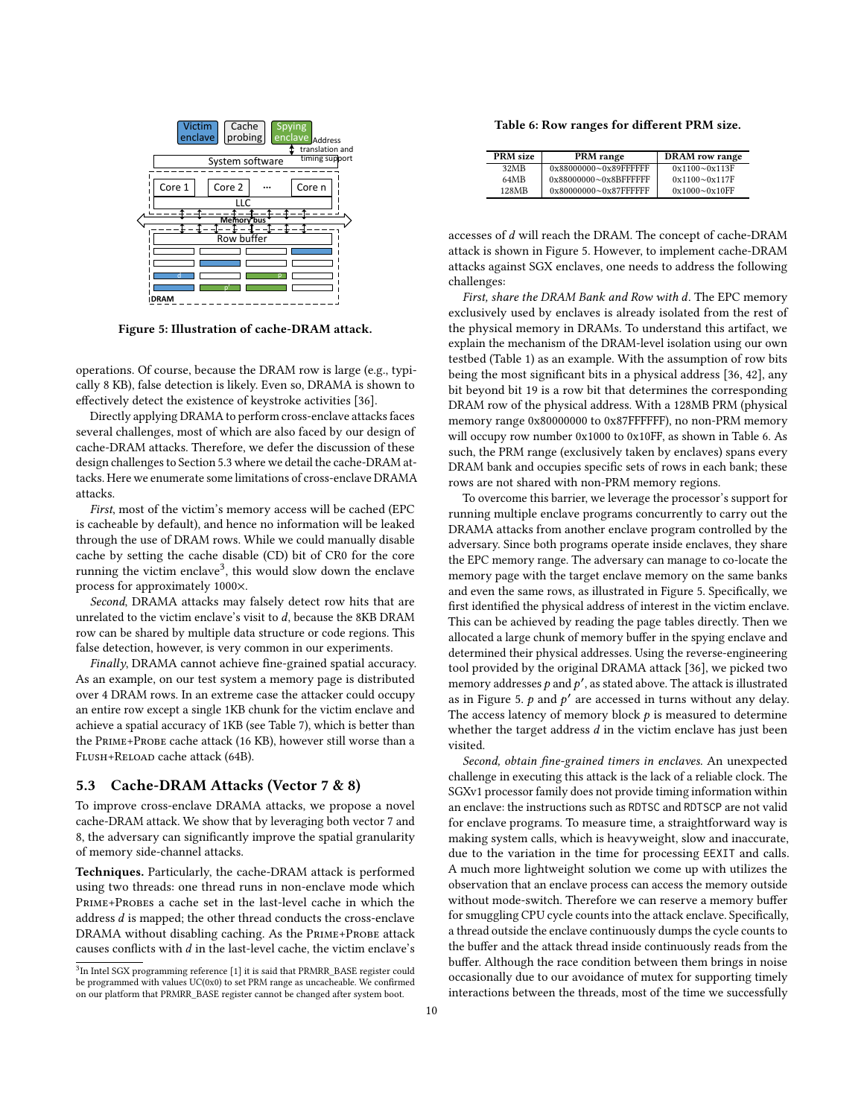<span id="page-9-2"></span>

Figure 5: Illustration of cache-DRAM attack.

operations. Of course, because the DRAM row is large (e.g., typically 8 KB), false detection is likely. Even so, DRAMA is shown to effectively detect the existence of keystroke activities [\[36\]](#page-13-4).

Directly applying DRAMA to perform cross-enclave attacks faces several challenges, most of which are also faced by our design of cache-DRAM attacks. Therefore, we defer the discussion of these design challenges to Section [5.3](#page-9-0) where we detail the cache-DRAM attacks. Here we enumerate some limitations of cross-enclave DRAMA attacks.

First, most of the victim's memory access will be cached (EPC is cacheable by default), and hence no information will be leaked through the use of DRAM rows. While we could manually disable cache by setting the cache disable (CD) bit of CR0 for the core running the victim enclave<sup>[3](#page-9-1)</sup>, this would slow down the enclave process for approximately 1000×.

Second, DRAMA attacks may falsely detect row hits that are unrelated to the victim enclave's visit to d, because the 8KB DRAM row can be shared by multiple data structure or code regions. This false detection, however, is very common in our experiments.

Finally, DRAMA cannot achieve fine-grained spatial accuracy. As an example, on our test system a memory page is distributed over 4 DRAM rows. In an extreme case the attacker could occupy an entire row except a single 1KB chunk for the victim enclave and achieve a spatial accuracy of 1KB (see Table [7\)](#page-10-1), which is better than the Prime+Probe cache attack (16 KB), however still worse than a Flush+Reload cache attack (64B).

#### <span id="page-9-0"></span>5.3 Cache-DRAM Attacks (Vector 7 & 8)

To improve cross-enclave DRAMA attacks, we propose a novel cache-DRAM attack. We show that by leveraging both vector 7 and 8, the adversary can significantly improve the spatial granularity of memory side-channel attacks.

Techniques. Particularly, the cache-DRAM attack is performed using two threads: one thread runs in non-enclave mode which Prime+Probes a cache set in the last-level cache in which the address d is mapped; the other thread conducts the cross-enclave DRAMA without disabling caching. As the Prime+Probe attack causes conflicts with d in the last-level cache, the victim enclave's

<span id="page-9-3"></span>Table 6: Row ranges for different PRM size.

| PRM size | <b>PRM</b> range             | <b>DRAM</b> row range |
|----------|------------------------------|-----------------------|
| 32MB     | $0x880000000 - 0x89$ FFFFFF  | $0x1100 \sim 0x113F$  |
| 64MB     | $0x88000000\sim0x8BFFFFFF$   | $0x1100 \sim 0x117F$  |
| 128MB    | $0x800000000 - 0x87$ FFFFFFF | $0x1000 \sim 0x10FF$  |

accesses of d will reach the DRAM. The concept of cache-DRAM attack is shown in Figure [5.](#page-9-2) However, to implement cache-DRAM attacks against SGX enclaves, one needs to address the following challenges:

First, share the DRAM Bank and Row with d. The EPC memory exclusively used by enclaves is already isolated from the rest of the physical memory in DRAMs. To understand this artifact, we explain the mechanism of the DRAM-level isolation using our own testbed (Table [1\)](#page-6-0) as an example. With the assumption of row bits being the most significant bits in a physical address [\[36,](#page-13-4) [42\]](#page-13-9), any bit beyond bit 19 is a row bit that determines the corresponding DRAM row of the physical address. With a 128MB PRM (physical memory range 0x80000000 to 0x87FFFFFF), no non-PRM memory will occupy row number 0x1000 to 0x10FF, as shown in Table [6.](#page-9-3) As such, the PRM range (exclusively taken by enclaves) spans every DRAM bank and occupies specific sets of rows in each bank; these rows are not shared with non-PRM memory regions.

To overcome this barrier, we leverage the processor's support for running multiple enclave programs concurrently to carry out the DRAMA attacks from another enclave program controlled by the adversary. Since both programs operate inside enclaves, they share the EPC memory range. The adversary can manage to co-locate the memory page with the target enclave memory on the same banks and even the same rows, as illustrated in Figure [5.](#page-9-2) Specifically, we first identified the physical address of interest in the victim enclave. This can be achieved by reading the page tables directly. Then we allocated a large chunk of memory buffer in the spying enclave and determined their physical addresses. Using the reverse-engineering tool provided by the original DRAMA attack [\[36\]](#page-13-4), we picked two memory addresses p and  $p'$ , as stated above. The attack is illustrated<br>as in Figure 5, a and  $p'$ , are accessed in turns without any delay as in Figure [5.](#page-9-2)  $p$  and  $p'$  are accessed in turns without any delay.<br>The access latency of memory block a is measured to determine The access latency of memory block  $p$  is measured to determine whether the target address  $d$  in the victim enclave has just been visited.

Second, obtain fine-grained timers in enclaves. An unexpected challenge in executing this attack is the lack of a reliable clock. The SGXv1 processor family does not provide timing information within an enclave: the instructions such as RDTSC and RDTSCP are not valid for enclave programs. To measure time, a straightforward way is making system calls, which is heavyweight, slow and inaccurate, due to the variation in the time for processing EEXIT and calls. A much more lightweight solution we come up with utilizes the observation that an enclave process can access the memory outside without mode-switch. Therefore we can reserve a memory buffer for smuggling CPU cycle counts into the attack enclave. Specifically, a thread outside the enclave continuously dumps the cycle counts to the buffer and the attack thread inside continuously reads from the buffer. Although the race condition between them brings in noise occasionally due to our avoidance of mutex for supporting timely interactions between the threads, most of the time we successfully

<span id="page-9-1"></span> $3$ In Intel SGX programming reference [\[1\]](#page-12-10) it is said that PRMRR\_BASE register could be programmed with values UC(0x0) to set PRM range as uncacheable. We confirmed on our platform that PRMRR\_BASE register cannot be changed after system boot.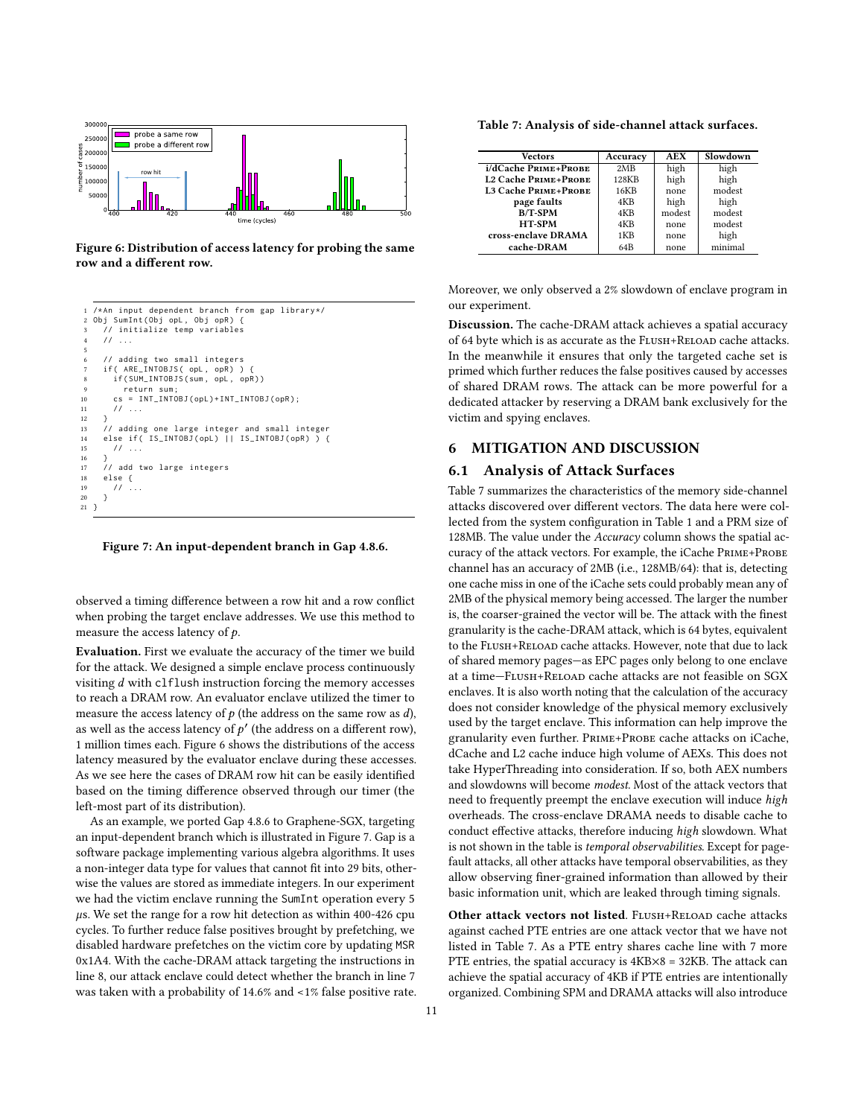<span id="page-10-2"></span>

Figure 6: Distribution of access latency for probing the same row and a different row.

```
1 /* An input dependent branch from gap library */
    0bj SumInt ( Obj opL, Obj opR )
        // initialize temp variables
        115
  6 // adding two small integers
7 if ( ARE_INTOBJS ( opL , opR ) ) {
            if ( SUM_INTOBIS ( sum, opl, oph) )return sum:
10 cs = INT_INT0BJ( opl.) + INT_INT0BJ( opr);<br>11 //...
           \frac{1}{2}\begin{matrix} 12 & \phantom{0} \\ 13 & \phantom{0} \end{matrix} /13 // adding one large integer and small integer<br>14 else if(IS_INTOBJ(opL) || IS_INTOBJ(opR) ) {
        else if ( IS_INTOBJ ( opL ) || IS_INTOBJ ( opR ) ) {
15 / / / . .16 }
        // add two large integers
\begin{array}{ccc} 18 & & \text{else} & \{ \\ 19 & & \end{array}\begin{array}{cc} 19 & & \end{array} \begin{array}{cc} 20 & & \end{array}\rightarrow21 \,
```
Figure 7: An input-dependent branch in Gap 4.8.6.

observed a timing difference between a row hit and a row conflict when probing the target enclave addresses. We use this method to measure the access latency of p.

Evaluation. First we evaluate the accuracy of the timer we build for the attack. We designed a simple enclave process continuously visiting  $d$  with clflush instruction forcing the memory accesses to reach a DRAM row. An evaluator enclave utilized the timer to measure the access latency of  $p$  (the address on the same row as  $d$ ), as well as the access latency of  $p'$  (the address on a different row),<br>1 million times each Figure 6 shows the distributions of the access 1 million times each. Figure [6](#page-10-2) shows the distributions of the access latency measured by the evaluator enclave during these accesses. As we see here the cases of DRAM row hit can be easily identified based on the timing difference observed through our timer (the left-most part of its distribution).

As an example, we ported Gap 4.8.6 to Graphene-SGX, targeting an input-dependent branch which is illustrated in Figure [7.](#page-10-3) Gap is a software package implementing various algebra algorithms. It uses a non-integer data type for values that cannot fit into 29 bits, otherwise the values are stored as immediate integers. In our experiment we had the victim enclave running the SumInt operation every 5  $\mu$ s. We set the range for a row hit detection as within 400-426 cpu cycles. To further reduce false positives brought by prefetching, we disabled hardware prefetches on the victim core by updating MSR 0x1A4. With the cache-DRAM attack targeting the instructions in line 8, our attack enclave could detect whether the branch in line 7 was taken with a probability of 14.6% and <1% false positive rate.

<span id="page-10-1"></span>Table 7: Analysis of side-channel attack surfaces.

| <b>Vectors</b>              | Accuracy | <b>AEX</b> | Slowdown |
|-----------------------------|----------|------------|----------|
| i/dCache PRIME+PROBE        | 2MB      | high       | high     |
| <b>L2 Cache PRIME+PROBE</b> | 128KB    | high       | high     |
| <b>L3 Cache PRIME+PROBE</b> | 16KB     | none       | modest   |
| page faults                 | 4KB      | high       | high     |
| <b>B/T-SPM</b>              | 4KB      | modest     | modest   |
| <b>HT-SPM</b>               | 4KB      | none       | modest   |
| cross-enclave DRAMA         | 1KB      | none       | high     |
| cache-DRAM                  | 64B      | none       |          |

Moreover, we only observed a 2% slowdown of enclave program in our experiment.

Discussion. The cache-DRAM attack achieves a spatial accuracy of 64 byte which is as accurate as the Flush+Reload cache attacks. In the meanwhile it ensures that only the targeted cache set is primed which further reduces the false positives caused by accesses of shared DRAM rows. The attack can be more powerful for a dedicated attacker by reserving a DRAM bank exclusively for the victim and spying enclaves.

# <span id="page-10-0"></span>6 MITIGATION AND DISCUSSION

#### 6.1 Analysis of Attack Surfaces

Table [7](#page-10-1) summarizes the characteristics of the memory side-channel attacks discovered over different vectors. The data here were collected from the system configuration in Table [1](#page-6-0) and a PRM size of 128MB. The value under the Accuracy column shows the spatial accuracy of the attack vectors. For example, the iCache Prime+Probe channel has an accuracy of 2MB (i.e., 128MB/64): that is, detecting one cache miss in one of the iCache sets could probably mean any of 2MB of the physical memory being accessed. The larger the number is, the coarser-grained the vector will be. The attack with the finest granularity is the cache-DRAM attack, which is 64 bytes, equivalent to the Flush+Reload cache attacks. However, note that due to lack of shared memory pages—as EPC pages only belong to one enclave at a time—Flush+Reload cache attacks are not feasible on SGX enclaves. It is also worth noting that the calculation of the accuracy does not consider knowledge of the physical memory exclusively used by the target enclave. This information can help improve the granularity even further. Prime+Probe cache attacks on iCache, dCache and L2 cache induce high volume of AEXs. This does not take HyperThreading into consideration. If so, both AEX numbers and slowdowns will become modest. Most of the attack vectors that need to frequently preempt the enclave execution will induce high overheads. The cross-enclave DRAMA needs to disable cache to conduct effective attacks, therefore inducing high slowdown. What is not shown in the table is temporal observabilities. Except for pagefault attacks, all other attacks have temporal observabilities, as they allow observing finer-grained information than allowed by their basic information unit, which are leaked through timing signals.

Other attack vectors not listed. FLUSH+RELOAD cache attacks against cached PTE entries are one attack vector that we have not listed in Table [7.](#page-10-1) As a PTE entry shares cache line with 7 more PTE entries, the spatial accuracy is 4KB×8 = 32KB. The attack can achieve the spatial accuracy of 4KB if PTE entries are intentionally organized. Combining SPM and DRAMA attacks will also introduce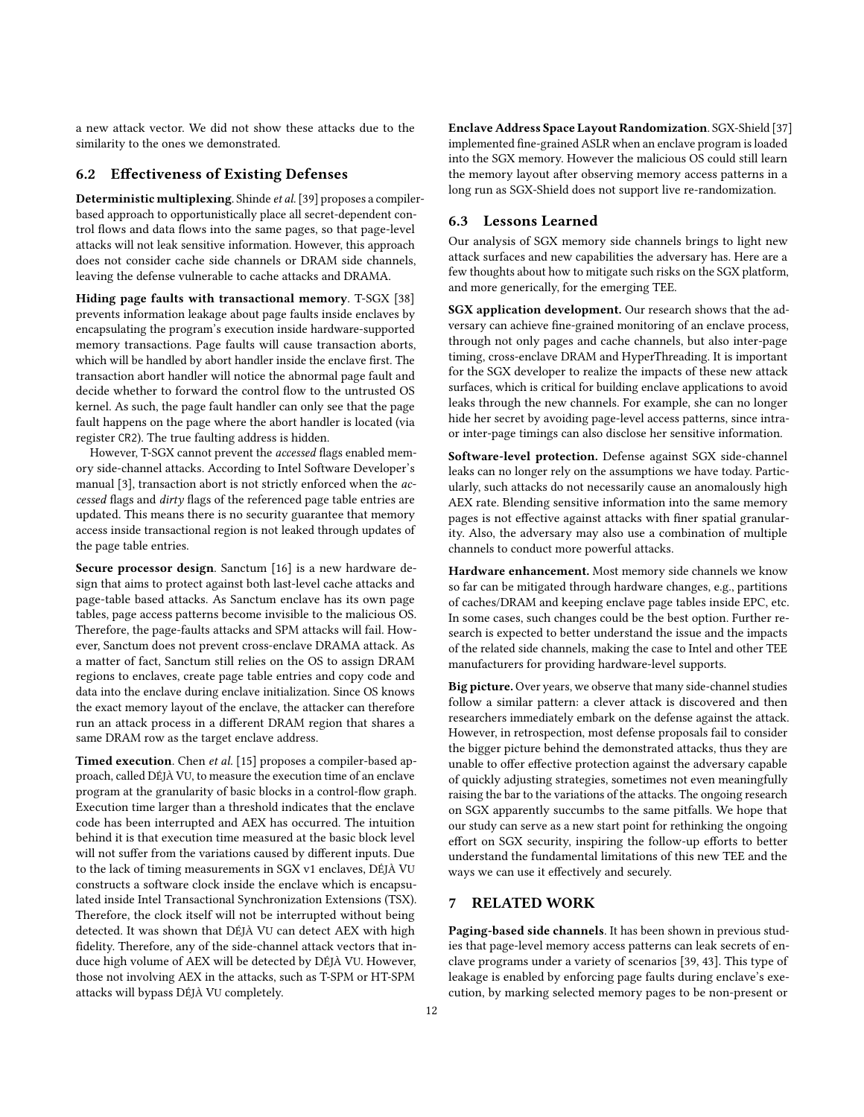a new attack vector. We did not show these attacks due to the similarity to the ones we demonstrated.

## 6.2 Effectiveness of Existing Defenses

Deterministic multiplexing. Shinde et al. [\[39\]](#page-13-1) proposes a compilerbased approach to opportunistically place all secret-dependent control flows and data flows into the same pages, so that page-level attacks will not leak sensitive information. However, this approach does not consider cache side channels or DRAM side channels, leaving the defense vulnerable to cache attacks and DRAMA.

Hiding page faults with transactional memory. T-SGX [\[38\]](#page-13-3) prevents information leakage about page faults inside enclaves by encapsulating the program's execution inside hardware-supported memory transactions. Page faults will cause transaction aborts, which will be handled by abort handler inside the enclave first. The transaction abort handler will notice the abnormal page fault and decide whether to forward the control flow to the untrusted OS kernel. As such, the page fault handler can only see that the page fault happens on the page where the abort handler is located (via register CR2). The true faulting address is hidden.

However, T-SGX cannot prevent the accessed flags enabled memory side-channel attacks. According to Intel Software Developer's manual [\[3\]](#page-12-6), transaction abort is not strictly enforced when the accessed flags and dirty flags of the referenced page table entries are updated. This means there is no security guarantee that memory access inside transactional region is not leaked through updates of the page table entries.

Secure processor design. Sanctum [\[16\]](#page-13-2) is a new hardware design that aims to protect against both last-level cache attacks and page-table based attacks. As Sanctum enclave has its own page tables, page access patterns become invisible to the malicious OS. Therefore, the page-faults attacks and SPM attacks will fail. However, Sanctum does not prevent cross-enclave DRAMA attack. As a matter of fact, Sanctum still relies on the OS to assign DRAM regions to enclaves, create page table entries and copy code and data into the enclave during enclave initialization. Since OS knows the exact memory layout of the enclave, the attacker can therefore run an attack process in a different DRAM region that shares a same DRAM row as the target enclave address.

Timed execution. Chen et al. [\[15\]](#page-12-4) proposes a compiler-based approach, called DÉJÀ VU, to measure the execution time of an enclave program at the granularity of basic blocks in a control-flow graph. Execution time larger than a threshold indicates that the enclave code has been interrupted and AEX has occurred. The intuition behind it is that execution time measured at the basic block level will not suffer from the variations caused by different inputs. Due to the lack of timing measurements in SGX v1 enclaves, DÉJÀ VU constructs a software clock inside the enclave which is encapsulated inside Intel Transactional Synchronization Extensions (TSX). Therefore, the clock itself will not be interrupted without being detected. It was shown that DÉJÀ VU can detect AEX with high fidelity. Therefore, any of the side-channel attack vectors that induce high volume of AEX will be detected by DÉJÀ VU. However, those not involving AEX in the attacks, such as T-SPM or HT-SPM attacks will bypass DÉJÀ VU completely.

Enclave Address Space Layout Randomization. SGX-Shield [\[37\]](#page-13-10) implemented fine-grained ASLR when an enclave program is loaded into the SGX memory. However the malicious OS could still learn the memory layout after observing memory access patterns in a long run as SGX-Shield does not support live re-randomization.

## 6.3 Lessons Learned

Our analysis of SGX memory side channels brings to light new attack surfaces and new capabilities the adversary has. Here are a few thoughts about how to mitigate such risks on the SGX platform, and more generically, for the emerging TEE.

SGX application development. Our research shows that the adversary can achieve fine-grained monitoring of an enclave process, through not only pages and cache channels, but also inter-page timing, cross-enclave DRAM and HyperThreading. It is important for the SGX developer to realize the impacts of these new attack surfaces, which is critical for building enclave applications to avoid leaks through the new channels. For example, she can no longer hide her secret by avoiding page-level access patterns, since intraor inter-page timings can also disclose her sensitive information.

Software-level protection. Defense against SGX side-channel leaks can no longer rely on the assumptions we have today. Particularly, such attacks do not necessarily cause an anomalously high AEX rate. Blending sensitive information into the same memory pages is not effective against attacks with finer spatial granularity. Also, the adversary may also use a combination of multiple channels to conduct more powerful attacks.

Hardware enhancement. Most memory side channels we know so far can be mitigated through hardware changes, e.g., partitions of caches/DRAM and keeping enclave page tables inside EPC, etc. In some cases, such changes could be the best option. Further research is expected to better understand the issue and the impacts of the related side channels, making the case to Intel and other TEE manufacturers for providing hardware-level supports.

Big picture. Over years, we observe that many side-channel studies follow a similar pattern: a clever attack is discovered and then researchers immediately embark on the defense against the attack. However, in retrospection, most defense proposals fail to consider the bigger picture behind the demonstrated attacks, thus they are unable to offer effective protection against the adversary capable of quickly adjusting strategies, sometimes not even meaningfully raising the bar to the variations of the attacks. The ongoing research on SGX apparently succumbs to the same pitfalls. We hope that our study can serve as a new start point for rethinking the ongoing effort on SGX security, inspiring the follow-up efforts to better understand the fundamental limitations of this new TEE and the ways we can use it effectively and securely.

#### 7 RELATED WORK

Paging-based side channels. It has been shown in previous studies that page-level memory access patterns can leak secrets of enclave programs under a variety of scenarios [\[39,](#page-13-1) [43\]](#page-13-0). This type of leakage is enabled by enforcing page faults during enclave's execution, by marking selected memory pages to be non-present or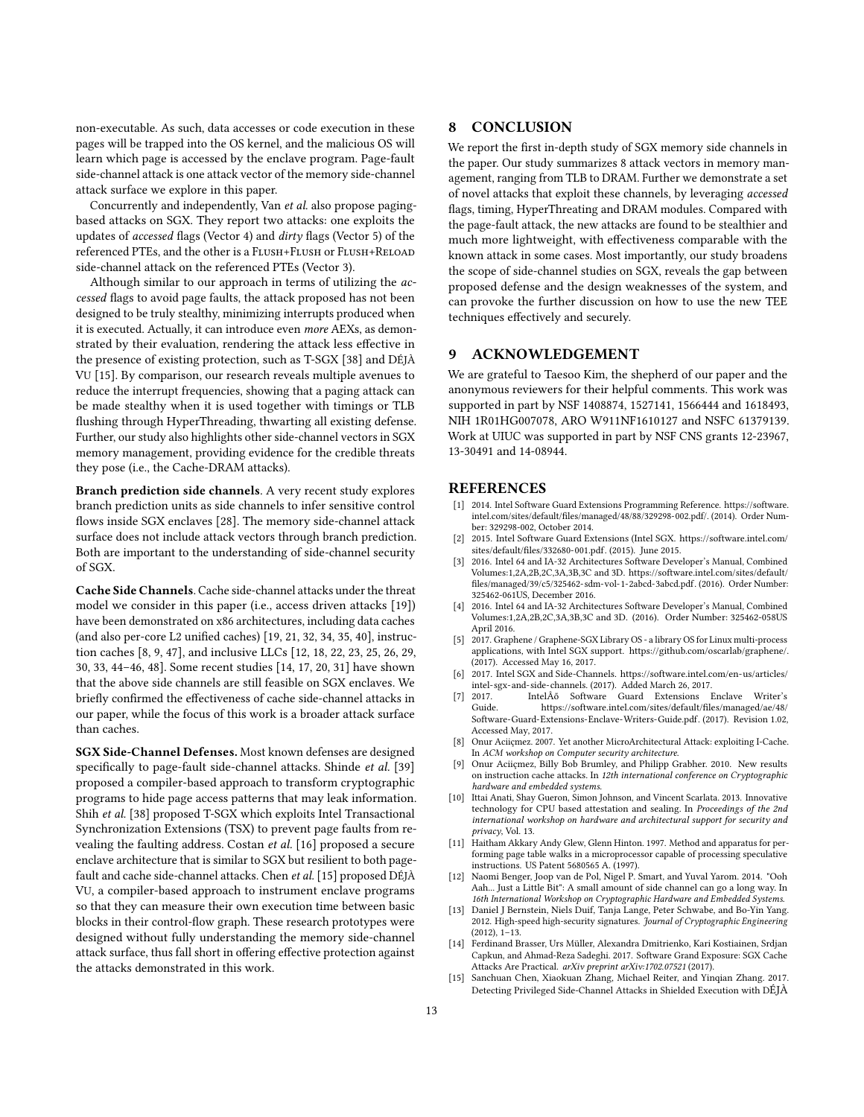non-executable. As such, data accesses or code execution in these pages will be trapped into the OS kernel, and the malicious OS will learn which page is accessed by the enclave program. Page-fault side-channel attack is one attack vector of the memory side-channel attack surface we explore in this paper.

Concurrently and independently, Van et al. also propose pagingbased attacks on SGX. They report two attacks: one exploits the updates of accessed flags (Vector 4) and dirty flags (Vector 5) of the referenced PTEs, and the other is a FLUSH+FLUSH or FLUSH+RELOAD side-channel attack on the referenced PTEs (Vector 3).

Although similar to our approach in terms of utilizing the accessed flags to avoid page faults, the attack proposed has not been designed to be truly stealthy, minimizing interrupts produced when it is executed. Actually, it can introduce even more AEXs, as demonstrated by their evaluation, rendering the attack less effective in the presence of existing protection, such as T-SGX [\[38\]](#page-13-3) and DÉJÀ VU [\[15\]](#page-12-4). By comparison, our research reveals multiple avenues to reduce the interrupt frequencies, showing that a paging attack can be made stealthy when it is used together with timings or TLB flushing through HyperThreading, thwarting all existing defense. Further, our study also highlights other side-channel vectors in SGX memory management, providing evidence for the credible threats they pose (i.e., the Cache-DRAM attacks).

Branch prediction side channels. A very recent study explores branch prediction units as side channels to infer sensitive control flows inside SGX enclaves [\[28\]](#page-13-11). The memory side-channel attack surface does not include attack vectors through branch prediction. Both are important to the understanding of side-channel security of SGX.

Cache Side Channels. Cache side-channel attacks under the threat model we consider in this paper (i.e., access driven attacks [\[19\]](#page-13-12)) have been demonstrated on x86 architectures, including data caches (and also per-core L2 unified caches) [\[19,](#page-13-12) [21,](#page-13-13) [32,](#page-13-14) [34,](#page-13-15) [35,](#page-13-16) [40\]](#page-13-17), instruction caches [\[8,](#page-12-11) [9,](#page-12-12) [47\]](#page-13-18), and inclusive LLCs [\[12,](#page-12-13) [18,](#page-13-19) [22,](#page-13-20) [23,](#page-13-21) [25,](#page-13-22) [26,](#page-13-23) [29,](#page-13-24) [30,](#page-13-7) [33,](#page-13-25) [44](#page-13-26)[–46,](#page-13-27) [48\]](#page-13-28). Some recent studies [\[14,](#page-12-14) [17,](#page-13-29) [20,](#page-13-30) [31\]](#page-13-31) have shown that the above side channels are still feasible on SGX enclaves. We briefly confirmed the effectiveness of cache side-channel attacks in our paper, while the focus of this work is a broader attack surface than caches.

SGX Side-Channel Defenses. Most known defenses are designed specifically to page-fault side-channel attacks. Shinde et al. [\[39\]](#page-13-1) proposed a compiler-based approach to transform cryptographic programs to hide page access patterns that may leak information. Shih et al. [\[38\]](#page-13-3) proposed T-SGX which exploits Intel Transactional Synchronization Extensions (TSX) to prevent page faults from revealing the faulting address. Costan et al. [\[16\]](#page-13-2) proposed a secure enclave architecture that is similar to SGX but resilient to both pagefault and cache side-channel attacks. Chen et al. [\[15\]](#page-12-4) proposed DÉJÀ VU, a compiler-based approach to instrument enclave programs so that they can measure their own execution time between basic blocks in their control-flow graph. These research prototypes were designed without fully understanding the memory side-channel attack surface, thus fall short in offering effective protection against the attacks demonstrated in this work.

# 8 CONCLUSION

We report the first in-depth study of SGX memory side channels in the paper. Our study summarizes 8 attack vectors in memory management, ranging from TLB to DRAM. Further we demonstrate a set of novel attacks that exploit these channels, by leveraging accessed flags, timing, HyperThreating and DRAM modules. Compared with the page-fault attack, the new attacks are found to be stealthier and much more lightweight, with effectiveness comparable with the known attack in some cases. Most importantly, our study broadens the scope of side-channel studies on SGX, reveals the gap between proposed defense and the design weaknesses of the system, and can provoke the further discussion on how to use the new TEE techniques effectively and securely.

## 9 ACKNOWLEDGEMENT

We are grateful to Taesoo Kim, the shepherd of our paper and the anonymous reviewers for their helpful comments. This work was supported in part by NSF 1408874, 1527141, 1566444 and 1618493, NIH 1R01HG007078, ARO W911NF1610127 and NSFC 61379139. Work at UIUC was supported in part by NSF CNS grants 12-23967, 13-30491 and 14-08944.

# **REFERENCES**

- <span id="page-12-10"></span>[1] 2014. Intel Software Guard Extensions Programming Reference. [https://software.](https://software.intel.com/sites/default/files/managed/48/88/329298-002.pdf/) [intel.com/sites/default/files/managed/48/88/329298-002.pdf/.](https://software.intel.com/sites/default/files/managed/48/88/329298-002.pdf/) (2014). Order Number: 329298-002, October 2014.
- <span id="page-12-1"></span>[2] 2015. Intel Software Guard Extensions (Intel SGX. [https://software.intel.com/](https://software.intel.com/sites/default/files/332680-001.pdf) [sites/default/files/332680-001.pdf.](https://software.intel.com/sites/default/files/332680-001.pdf) (2015). June 2015.
- <span id="page-12-6"></span>[3] 2016. Intel 64 and IA-32 Architectures Software Developer's Manual, Combined Volumes:1,2A,2B,2C,3A,3B,3C and 3D. [https://software.intel.com/sites/default/](https://software.intel.com/sites/default/files/managed/39/c5/325462-sdm-vol-1-2abcd-3abcd.pdf) [files/managed/39/c5/325462-sdm-vol-1-2abcd-3abcd.pdf.](https://software.intel.com/sites/default/files/managed/39/c5/325462-sdm-vol-1-2abcd-3abcd.pdf) (2016). Order Number: 325462-061US, December 2016.
- <span id="page-12-7"></span>[4] 2016. Intel 64 and IA-32 Architectures Software Developer's Manual, Combined Volumes:1,2A,2B,2C,3A,3B,3C and 3D. (2016). Order Number: 325462-058US April 2016.
- <span id="page-12-8"></span>[5] 2017. Graphene / Graphene-SGX Library OS - a library OS for Linux multi-process applications, with Intel SGX support. [https://github.com/oscarlab/graphene/.](https://github.com/oscarlab/graphene/) (2017). Accessed May 16, 2017.
- <span id="page-12-3"></span>[6] 2017. Intel SGX and Side-Channels. [https://software.intel.com/en-us/articles/](https://software.intel.com/en-us/articles/intel-sgx-and-side-channels) [intel-sgx-and-side-channels.](https://software.intel.com/en-us/articles/intel-sgx-and-side-channels) (2017). Added March 26, 2017.
- <span id="page-12-2"></span>[7] 2017. IntelÂő Software Guard Extensions Enclave Writer's Guide. [https://software.intel.com/sites/default/files/managed/ae/48/](https://software.intel.com/sites/default/files/managed/ae/48/Software-Guard-Extensions-Enclave-Writers-Guide.pdf) [Software-Guard-Extensions-Enclave-Writers-Guide.pdf.](https://software.intel.com/sites/default/files/managed/ae/48/Software-Guard-Extensions-Enclave-Writers-Guide.pdf) (2017). Revision 1.02, Accessed May, 2017.
- <span id="page-12-11"></span>[8] Onur Aciiçmez. 2007. Yet another MicroArchitectural Attack: exploiting I-Cache. In ACM workshop on Computer security architecture.
- <span id="page-12-12"></span>[9] Onur Aciiçmez, Billy Bob Brumley, and Philipp Grabher. 2010. New results on instruction cache attacks. In 12th international conference on Cryptographic hardware and embedded systems.
- <span id="page-12-0"></span>[10] Ittai Anati, Shay Gueron, Simon Johnson, and Vincent Scarlata. 2013. Innovative technology for CPU based attestation and sealing. In Proceedings of the 2nd international workshop on hardware and architectural support for security and privacy, Vol. 13.
- <span id="page-12-5"></span>[11] Haitham Akkary Andy Glew, Glenn Hinton. 1997. Method and apparatus for performing page table walks in a microprocessor capable of processing speculative instructions. US Patent 5680565 A. (1997).
- <span id="page-12-13"></span>[12] Naomi Benger, Joop van de Pol, Nigel P. Smart, and Yuval Yarom. 2014. "Ooh Aah... Just a Little Bit": A small amount of side channel can go a long way. In 16th International Workshop on Cryptographic Hardware and Embedded Systems.
- <span id="page-12-9"></span>[13] Daniel J Bernstein, Niels Duif, Tanja Lange, Peter Schwabe, and Bo-Yin Yang. 2012. High-speed high-security signatures. Journal of Cryptographic Engineering (2012), 1–13.
- <span id="page-12-14"></span>[14] Ferdinand Brasser, Urs Müller, Alexandra Dmitrienko, Kari Kostiainen, Srdjan Capkun, and Ahmad-Reza Sadeghi. 2017. Software Grand Exposure: SGX Cache Attacks Are Practical. arXiv preprint arXiv:1702.07521 (2017).
- <span id="page-12-4"></span>[15] Sanchuan Chen, Xiaokuan Zhang, Michael Reiter, and Yinqian Zhang. 2017. Detecting Privileged Side-Channel Attacks in Shielded Execution with DÉJÀ